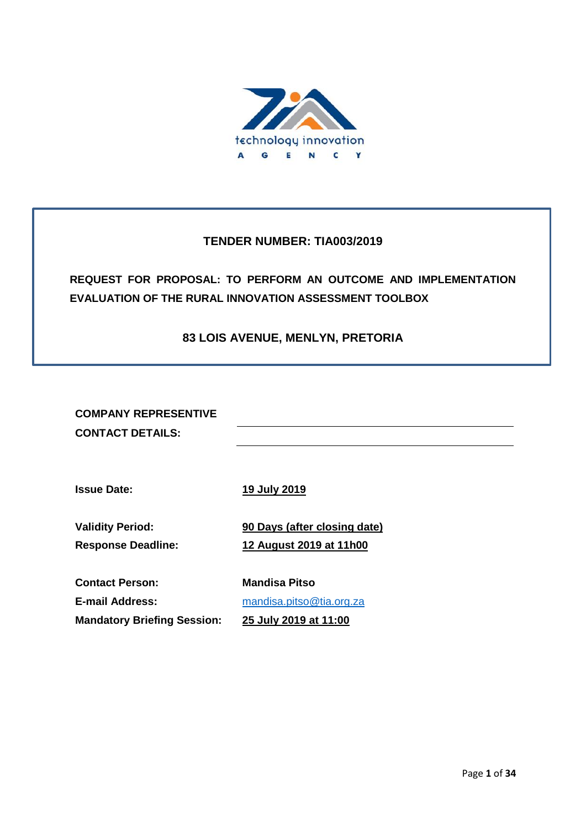

# **TENDER NUMBER: TIA003/2019**

**REQUEST FOR PROPOSAL: TO PERFORM AN OUTCOME AND IMPLEMENTATION EVALUATION OF THE RURAL INNOVATION ASSESSMENT TOOLBOX**

# **83 LOIS AVENUE, MENLYN, PRETORIA**

**COMPANY REPRESENTIVE CONTACT DETAILS:**

**Issue Date: 19 July 2019**

**Validity Period: 90 Days (after closing date) Response Deadline: 12 August 2019 at 11h00**

**Contact Person: Mandisa Pitso**

**E-mail Address:** [mandisa.pitso@tia.org.za](mailto:mandisa.pitso@tia.org.za) **Mandatory Briefing Session: 25 July 2019 at 11:00**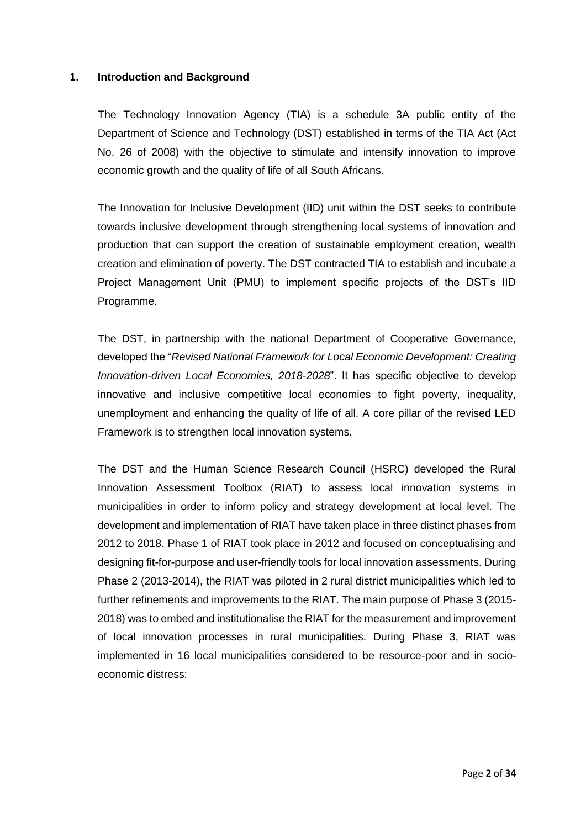#### **1. Introduction and Background**

The Technology Innovation Agency (TIA) is a schedule 3A public entity of the Department of Science and Technology (DST) established in terms of the TIA Act (Act No. 26 of 2008) with the objective to stimulate and intensify innovation to improve economic growth and the quality of life of all South Africans.

The Innovation for Inclusive Development (IID) unit within the DST seeks to contribute towards inclusive development through strengthening local systems of innovation and production that can support the creation of sustainable employment creation, wealth creation and elimination of poverty. The DST contracted TIA to establish and incubate a Project Management Unit (PMU) to implement specific projects of the DST's IID Programme.

The DST, in partnership with the national Department of Cooperative Governance, developed the "*Revised National Framework for Local Economic Development: Creating Innovation-driven Local Economies, 2018-2028*". It has specific objective to develop innovative and inclusive competitive local economies to fight poverty, inequality, unemployment and enhancing the quality of life of all. A core pillar of the revised LED Framework is to strengthen local innovation systems.

The DST and the Human Science Research Council (HSRC) developed the Rural Innovation Assessment Toolbox (RIAT) to assess local innovation systems in municipalities in order to inform policy and strategy development at local level. The development and implementation of RIAT have taken place in three distinct phases from 2012 to 2018. Phase 1 of RIAT took place in 2012 and focused on conceptualising and designing fit-for-purpose and user-friendly tools for local innovation assessments. During Phase 2 (2013-2014), the RIAT was piloted in 2 rural district municipalities which led to further refinements and improvements to the RIAT. The main purpose of Phase 3 (2015- 2018) was to embed and institutionalise the RIAT for the measurement and improvement of local innovation processes in rural municipalities. During Phase 3, RIAT was implemented in 16 local municipalities considered to be resource-poor and in socioeconomic distress: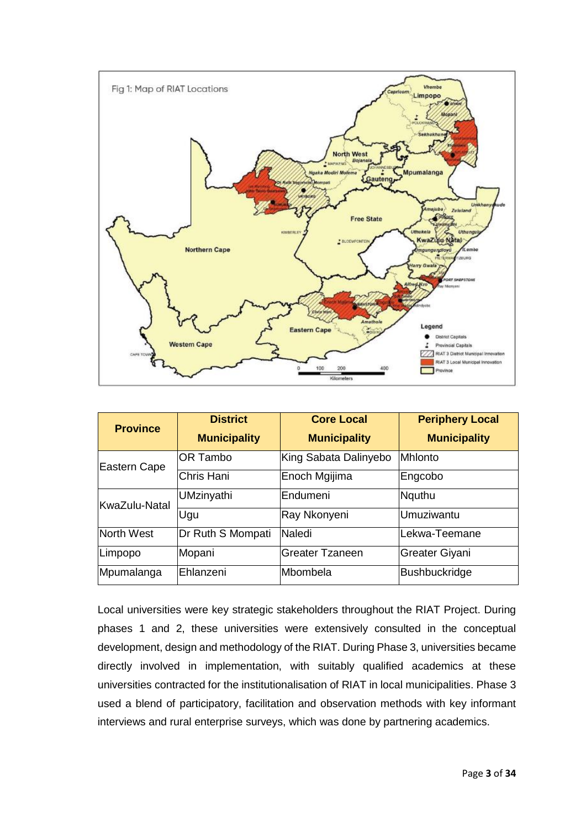

| <b>Province</b> | <b>District</b>     | <b>Core Local</b>      | <b>Periphery Local</b> |
|-----------------|---------------------|------------------------|------------------------|
|                 | <b>Municipality</b> | <b>Municipality</b>    | <b>Municipality</b>    |
| Eastern Cape    | <b>OR Tambo</b>     | King Sabata Dalinyebo  | <b>Mhlonto</b>         |
|                 | Chris Hani          | Enoch Mgijima          | Engcobo                |
| KwaZulu-Natal   | <b>UMzinyathi</b>   | Endumeni               | Nquthu                 |
|                 | Ugu                 | Ray Nkonyeni           | Umuziwantu             |
| North West      | Dr Ruth S Mompati   | Naledi                 | Lekwa-Teemane          |
| Limpopo         | Mopani              | <b>Greater Tzaneen</b> | Greater Giyani         |
| Mpumalanga      | Ehlanzeni           | lMbombela              | Bushbuckridge          |

Local universities were key strategic stakeholders throughout the RIAT Project. During phases 1 and 2, these universities were extensively consulted in the conceptual development, design and methodology of the RIAT. During Phase 3, universities became directly involved in implementation, with suitably qualified academics at these universities contracted for the institutionalisation of RIAT in local municipalities. Phase 3 used a blend of participatory, facilitation and observation methods with key informant interviews and rural enterprise surveys, which was done by partnering academics.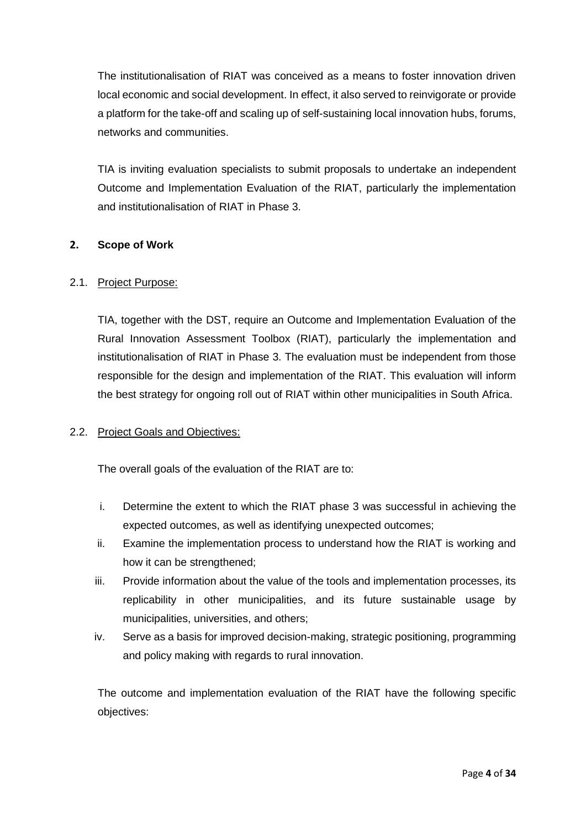The institutionalisation of RIAT was conceived as a means to foster innovation driven local economic and social development. In effect, it also served to reinvigorate or provide a platform for the take-off and scaling up of self-sustaining local innovation hubs, forums, networks and communities.

TIA is inviting evaluation specialists to submit proposals to undertake an independent Outcome and Implementation Evaluation of the RIAT, particularly the implementation and institutionalisation of RIAT in Phase 3.

### **2. Scope of Work**

### 2.1. Project Purpose:

TIA, together with the DST, require an Outcome and Implementation Evaluation of the Rural Innovation Assessment Toolbox (RIAT), particularly the implementation and institutionalisation of RIAT in Phase 3. The evaluation must be independent from those responsible for the design and implementation of the RIAT. This evaluation will inform the best strategy for ongoing roll out of RIAT within other municipalities in South Africa.

### 2.2. Project Goals and Objectives:

The overall goals of the evaluation of the RIAT are to:

- i. Determine the extent to which the RIAT phase 3 was successful in achieving the expected outcomes, as well as identifying unexpected outcomes;
- ii. Examine the implementation process to understand how the RIAT is working and how it can be strengthened;
- iii. Provide information about the value of the tools and implementation processes, its replicability in other municipalities, and its future sustainable usage by municipalities, universities, and others;
- iv. Serve as a basis for improved decision-making, strategic positioning, programming and policy making with regards to rural innovation.

The outcome and implementation evaluation of the RIAT have the following specific objectives: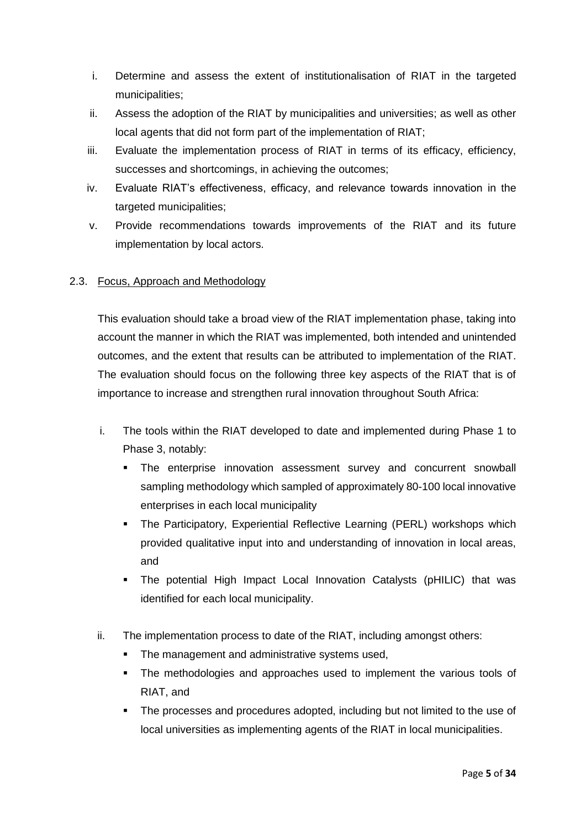- i. Determine and assess the extent of institutionalisation of RIAT in the targeted municipalities;
- ii. Assess the adoption of the RIAT by municipalities and universities; as well as other local agents that did not form part of the implementation of RIAT;
- iii. Evaluate the implementation process of RIAT in terms of its efficacy, efficiency, successes and shortcomings, in achieving the outcomes;
- iv. Evaluate RIAT's effectiveness, efficacy, and relevance towards innovation in the targeted municipalities;
- v. Provide recommendations towards improvements of the RIAT and its future implementation by local actors.

## 2.3. Focus, Approach and Methodology

This evaluation should take a broad view of the RIAT implementation phase, taking into account the manner in which the RIAT was implemented, both intended and unintended outcomes, and the extent that results can be attributed to implementation of the RIAT. The evaluation should focus on the following three key aspects of the RIAT that is of importance to increase and strengthen rural innovation throughout South Africa:

- i. The tools within the RIAT developed to date and implemented during Phase 1 to Phase 3, notably:
	- The enterprise innovation assessment survey and concurrent snowball sampling methodology which sampled of approximately 80-100 local innovative enterprises in each local municipality
	- **•** The Participatory, Experiential Reflective Learning (PERL) workshops which provided qualitative input into and understanding of innovation in local areas, and
	- The potential High Impact Local Innovation Catalysts (pHILIC) that was identified for each local municipality.
- ii. The implementation process to date of the RIAT, including amongst others:
	- The management and administrative systems used,
	- The methodologies and approaches used to implement the various tools of RIAT, and
	- The processes and procedures adopted, including but not limited to the use of local universities as implementing agents of the RIAT in local municipalities.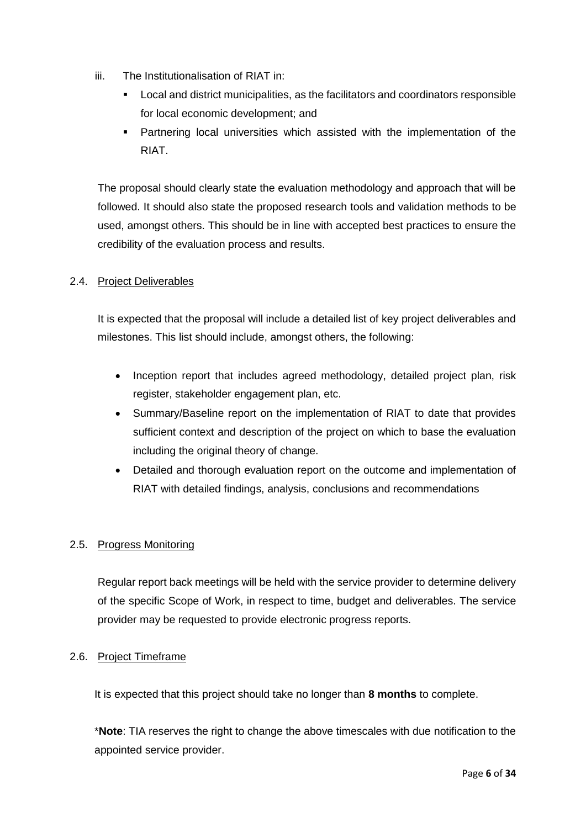- iii. The Institutionalisation of RIAT in:
	- Local and district municipalities, as the facilitators and coordinators responsible for local economic development; and
	- **•** Partnering local universities which assisted with the implementation of the RIAT.

The proposal should clearly state the evaluation methodology and approach that will be followed. It should also state the proposed research tools and validation methods to be used, amongst others. This should be in line with accepted best practices to ensure the credibility of the evaluation process and results.

## 2.4. Project Deliverables

It is expected that the proposal will include a detailed list of key project deliverables and milestones. This list should include, amongst others, the following:

- Inception report that includes agreed methodology, detailed project plan, risk register, stakeholder engagement plan, etc.
- Summary/Baseline report on the implementation of RIAT to date that provides sufficient context and description of the project on which to base the evaluation including the original theory of change.
- Detailed and thorough evaluation report on the outcome and implementation of RIAT with detailed findings, analysis, conclusions and recommendations

## 2.5. Progress Monitoring

Regular report back meetings will be held with the service provider to determine delivery of the specific Scope of Work, in respect to time, budget and deliverables. The service provider may be requested to provide electronic progress reports.

## 2.6. Project Timeframe

It is expected that this project should take no longer than **8 months** to complete.

\***Note**: TIA reserves the right to change the above timescales with due notification to the appointed service provider.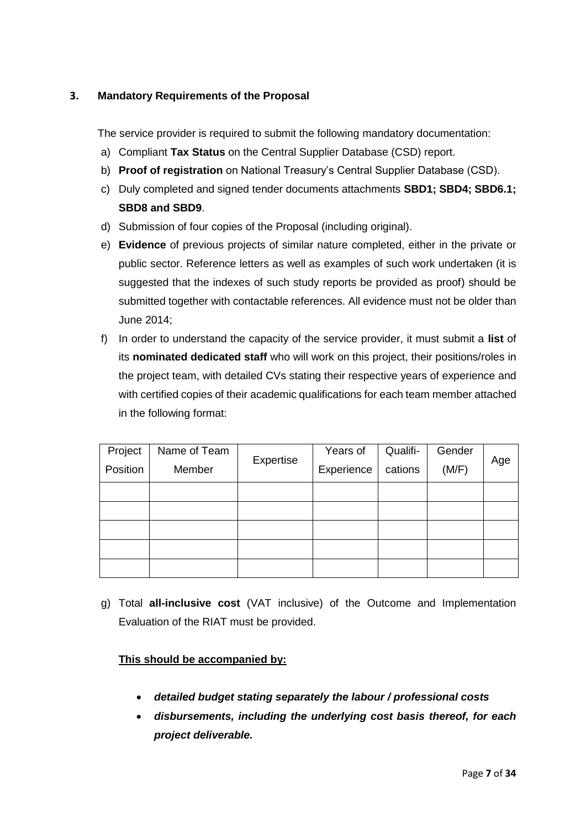## **3. Mandatory Requirements of the Proposal**

The service provider is required to submit the following mandatory documentation:

- a) Compliant **Tax Status** on the Central Supplier Database (CSD) report.
- b) **Proof of registration** on National Treasury's Central Supplier Database (CSD).
- c) Duly completed and signed tender documents attachments **SBD1; SBD4; SBD6.1; SBD8 and SBD9**.
- d) Submission of four copies of the Proposal (including original).
- e) **Evidence** of previous projects of similar nature completed, either in the private or public sector. Reference letters as well as examples of such work undertaken (it is suggested that the indexes of such study reports be provided as proof) should be submitted together with contactable references. All evidence must not be older than June 2014;
- f) In order to understand the capacity of the service provider, it must submit a **list** of its **nominated dedicated staff** who will work on this project, their positions/roles in the project team, with detailed CVs stating their respective years of experience and with certified copies of their academic qualifications for each team member attached in the following format:

| Project  | Name of Team |           | Years of   | Qualifi- | Gender |     |  |
|----------|--------------|-----------|------------|----------|--------|-----|--|
| Position | Member       | Expertise | Experience | cations  | (M/F)  | Age |  |
|          |              |           |            |          |        |     |  |
|          |              |           |            |          |        |     |  |
|          |              |           |            |          |        |     |  |
|          |              |           |            |          |        |     |  |
|          |              |           |            |          |        |     |  |

g) Total **all-inclusive cost** (VAT inclusive) of the Outcome and Implementation Evaluation of the RIAT must be provided.

## **This should be accompanied by:**

- *detailed budget stating separately the labour / professional costs*
- *disbursements, including the underlying cost basis thereof, for each project deliverable.*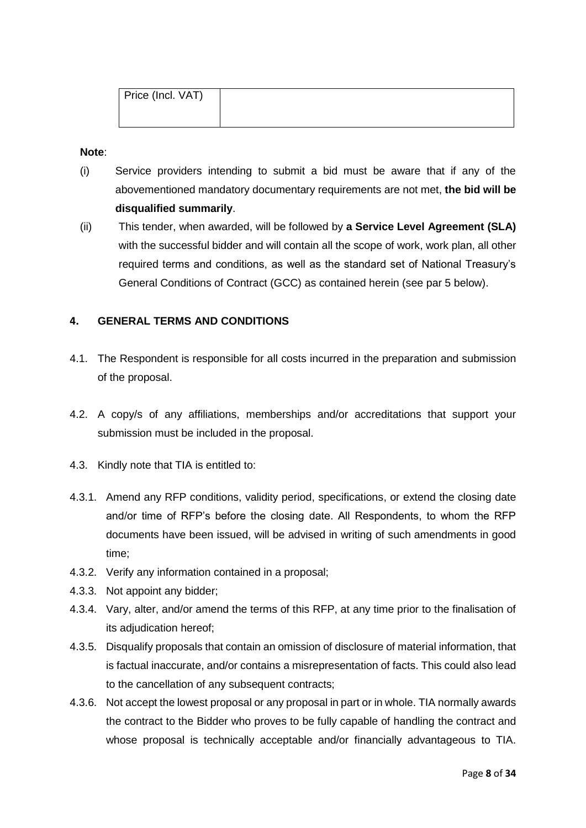| Price (Incl. VAT) |  |
|-------------------|--|
|                   |  |

#### **Note**:

- (i) Service providers intending to submit a bid must be aware that if any of the abovementioned mandatory documentary requirements are not met, **the bid will be disqualified summarily**.
- (ii) This tender, when awarded, will be followed by **a Service Level Agreement (SLA)** with the successful bidder and will contain all the scope of work, work plan, all other required terms and conditions, as well as the standard set of National Treasury's General Conditions of Contract (GCC) as contained herein (see par 5 below).

### **4. GENERAL TERMS AND CONDITIONS**

- 4.1. The Respondent is responsible for all costs incurred in the preparation and submission of the proposal.
- 4.2. A copy/s of any affiliations, memberships and/or accreditations that support your submission must be included in the proposal.
- 4.3. Kindly note that TIA is entitled to:
- 4.3.1. Amend any RFP conditions, validity period, specifications, or extend the closing date and/or time of RFP's before the closing date. All Respondents, to whom the RFP documents have been issued, will be advised in writing of such amendments in good time;
- 4.3.2. Verify any information contained in a proposal;
- 4.3.3. Not appoint any bidder;
- 4.3.4. Vary, alter, and/or amend the terms of this RFP, at any time prior to the finalisation of its adjudication hereof;
- 4.3.5. Disqualify proposals that contain an omission of disclosure of material information, that is factual inaccurate, and/or contains a misrepresentation of facts. This could also lead to the cancellation of any subsequent contracts;
- 4.3.6. Not accept the lowest proposal or any proposal in part or in whole. TIA normally awards the contract to the Bidder who proves to be fully capable of handling the contract and whose proposal is technically acceptable and/or financially advantageous to TIA.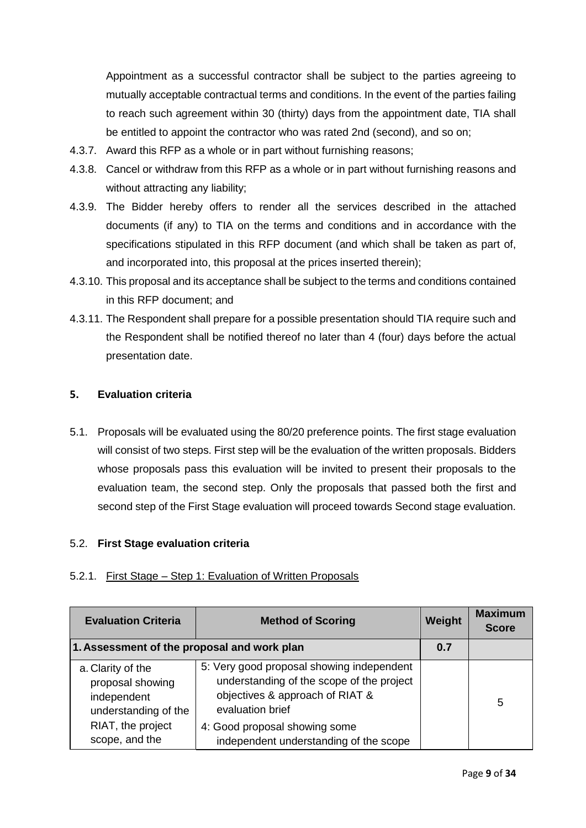Appointment as a successful contractor shall be subject to the parties agreeing to mutually acceptable contractual terms and conditions. In the event of the parties failing to reach such agreement within 30 (thirty) days from the appointment date, TIA shall be entitled to appoint the contractor who was rated 2nd (second), and so on;

- 4.3.7. Award this RFP as a whole or in part without furnishing reasons;
- 4.3.8. Cancel or withdraw from this RFP as a whole or in part without furnishing reasons and without attracting any liability;
- 4.3.9. The Bidder hereby offers to render all the services described in the attached documents (if any) to TIA on the terms and conditions and in accordance with the specifications stipulated in this RFP document (and which shall be taken as part of, and incorporated into, this proposal at the prices inserted therein);
- 4.3.10. This proposal and its acceptance shall be subject to the terms and conditions contained in this RFP document; and
- 4.3.11. The Respondent shall prepare for a possible presentation should TIA require such and the Respondent shall be notified thereof no later than 4 (four) days before the actual presentation date.

### **5. Evaluation criteria**

5.1. Proposals will be evaluated using the 80/20 preference points. The first stage evaluation will consist of two steps. First step will be the evaluation of the written proposals. Bidders whose proposals pass this evaluation will be invited to present their proposals to the evaluation team, the second step. Only the proposals that passed both the first and second step of the First Stage evaluation will proceed towards Second stage evaluation.

### 5.2. **First Stage evaluation criteria**

### 5.2.1. First Stage – Step 1: Evaluation of Written Proposals

| <b>Evaluation Criteria</b>                                                   | <b>Method of Scoring</b>                                                                                                                      | Weight | <b>Maximum</b><br><b>Score</b> |
|------------------------------------------------------------------------------|-----------------------------------------------------------------------------------------------------------------------------------------------|--------|--------------------------------|
| 1. Assessment of the proposal and work plan                                  |                                                                                                                                               |        |                                |
| a. Clarity of the<br>proposal showing<br>independent<br>understanding of the | 5: Very good proposal showing independent<br>understanding of the scope of the project<br>objectives & approach of RIAT &<br>evaluation brief |        | 5                              |
| RIAT, the project<br>scope, and the                                          | 4: Good proposal showing some<br>independent understanding of the scope                                                                       |        |                                |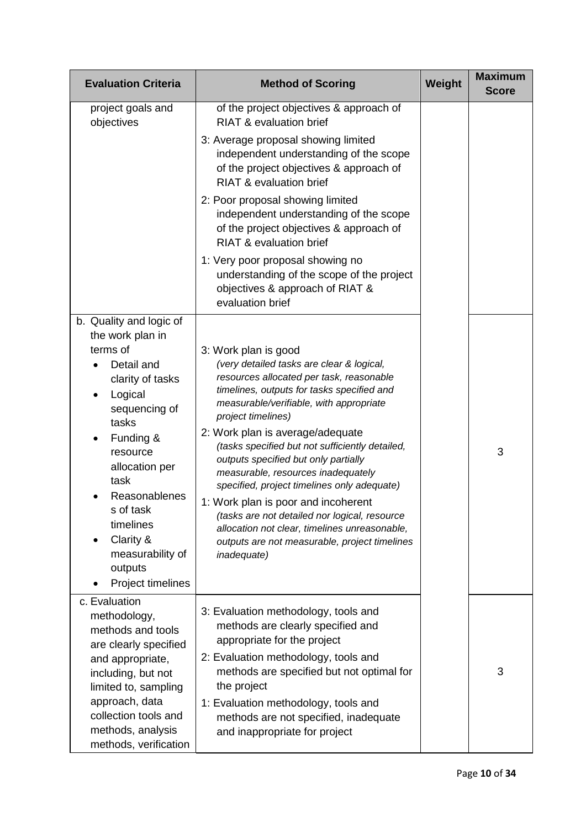| <b>Evaluation Criteria</b>                                                           | <b>Method of Scoring</b>                                                                                                                                                                                                     | Weight | <b>Maximum</b><br><b>Score</b> |
|--------------------------------------------------------------------------------------|------------------------------------------------------------------------------------------------------------------------------------------------------------------------------------------------------------------------------|--------|--------------------------------|
| project goals and<br>objectives                                                      | of the project objectives & approach of<br><b>RIAT &amp; evaluation brief</b>                                                                                                                                                |        |                                |
|                                                                                      | 3: Average proposal showing limited<br>independent understanding of the scope<br>of the project objectives & approach of<br><b>RIAT &amp; evaluation brief</b>                                                               |        |                                |
|                                                                                      | 2: Poor proposal showing limited<br>independent understanding of the scope<br>of the project objectives & approach of<br><b>RIAT &amp; evaluation brief</b>                                                                  |        |                                |
|                                                                                      | 1: Very poor proposal showing no<br>understanding of the scope of the project<br>objectives & approach of RIAT &<br>evaluation brief                                                                                         |        |                                |
| b. Quality and logic of<br>the work plan in<br>terms of                              |                                                                                                                                                                                                                              |        |                                |
| Detail and<br>clarity of tasks<br>Logical<br>sequencing of<br>tasks                  | 3: Work plan is good<br>(very detailed tasks are clear & logical,<br>resources allocated per task, reasonable<br>timelines, outputs for tasks specified and<br>measurable/verifiable, with appropriate<br>project timelines) |        |                                |
| Funding &<br>resource<br>allocation per<br>task                                      | 2: Work plan is average/adequate<br>(tasks specified but not sufficiently detailed,<br>outputs specified but only partially<br>measurable, resources inadequately<br>specified, project timelines only adequate)             |        | 3                              |
| Reasonablenes<br>s of task<br>timelines<br>Clarity &<br>measurability of<br>outputs  | 1: Work plan is poor and incoherent<br>(tasks are not detailed nor logical, resource<br>allocation not clear, timelines unreasonable,<br>outputs are not measurable, project timelines<br>inadequate)                        |        |                                |
| Project timelines<br>c. Evaluation                                                   |                                                                                                                                                                                                                              |        |                                |
| methodology,<br>methods and tools<br>are clearly specified<br>and appropriate,       | 3: Evaluation methodology, tools and<br>methods are clearly specified and<br>appropriate for the project<br>2: Evaluation methodology, tools and                                                                             |        |                                |
| including, but not<br>limited to, sampling                                           | methods are specified but not optimal for<br>the project                                                                                                                                                                     |        | 3                              |
| approach, data<br>collection tools and<br>methods, analysis<br>methods, verification | 1: Evaluation methodology, tools and<br>methods are not specified, inadequate<br>and inappropriate for project                                                                                                               |        |                                |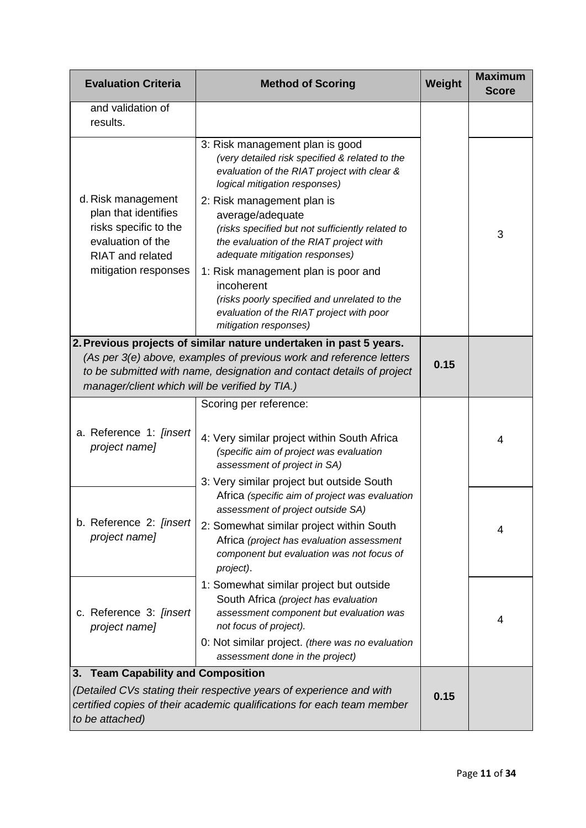| <b>Evaluation Criteria</b>                                                                                                                                                                                                                                           | <b>Method of Scoring</b>                                                                                                                                                                                 | Weight | <b>Maximum</b><br><b>Score</b> |
|----------------------------------------------------------------------------------------------------------------------------------------------------------------------------------------------------------------------------------------------------------------------|----------------------------------------------------------------------------------------------------------------------------------------------------------------------------------------------------------|--------|--------------------------------|
| and validation of<br>results.                                                                                                                                                                                                                                        |                                                                                                                                                                                                          |        |                                |
|                                                                                                                                                                                                                                                                      | 3: Risk management plan is good<br>(very detailed risk specified & related to the<br>evaluation of the RIAT project with clear &<br>logical mitigation responses)                                        |        |                                |
| d. Risk management<br>plan that identifies<br>risks specific to the<br>evaluation of the<br><b>RIAT</b> and related                                                                                                                                                  | 2: Risk management plan is<br>average/adequate<br>(risks specified but not sufficiently related to<br>the evaluation of the RIAT project with<br>adequate mitigation responses)                          |        | 3                              |
| mitigation responses                                                                                                                                                                                                                                                 | 1: Risk management plan is poor and<br>incoherent<br>(risks poorly specified and unrelated to the<br>evaluation of the RIAT project with poor<br>mitigation responses)                                   |        |                                |
| 2. Previous projects of similar nature undertaken in past 5 years.<br>(As per 3(e) above, examples of previous work and reference letters<br>to be submitted with name, designation and contact details of project<br>manager/client which will be verified by TIA.) |                                                                                                                                                                                                          | 0.15   |                                |
|                                                                                                                                                                                                                                                                      | Scoring per reference:                                                                                                                                                                                   |        |                                |
| a. Reference 1: [insert<br>project name]                                                                                                                                                                                                                             | 4: Very similar project within South Africa<br>(specific aim of project was evaluation<br>assessment of project in SA)                                                                                   |        | 4                              |
|                                                                                                                                                                                                                                                                      | 3: Very similar project but outside South<br>Africa (specific aim of project was evaluation                                                                                                              |        |                                |
| b. Reference 2: [insert<br>project name]                                                                                                                                                                                                                             | assessment of project outside SA)<br>2: Somewhat similar project within South<br>Africa (project has evaluation assessment<br>component but evaluation was not focus of<br>project).                     |        | 4                              |
| c. Reference 3: [insert<br>project name]                                                                                                                                                                                                                             | 1: Somewhat similar project but outside<br>South Africa (project has evaluation<br>assessment component but evaluation was<br>not focus of project).<br>0: Not similar project. (there was no evaluation |        | 4                              |
|                                                                                                                                                                                                                                                                      | assessment done in the project)                                                                                                                                                                          |        |                                |
| <b>Team Capability and Composition</b><br>3.<br>(Detailed CVs stating their respective years of experience and with<br>certified copies of their academic qualifications for each team member<br>to be attached)                                                     |                                                                                                                                                                                                          |        |                                |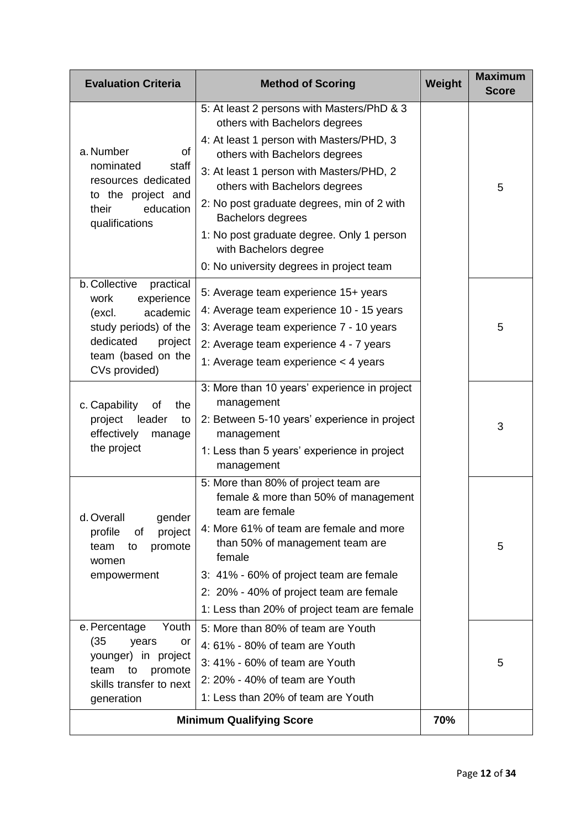| <b>Evaluation Criteria</b>                                                                                                                                     | <b>Method of Scoring</b>                                                                                                                                                                                                                                                                                                                                                                                                   | Weight | <b>Maximum</b><br><b>Score</b> |
|----------------------------------------------------------------------------------------------------------------------------------------------------------------|----------------------------------------------------------------------------------------------------------------------------------------------------------------------------------------------------------------------------------------------------------------------------------------------------------------------------------------------------------------------------------------------------------------------------|--------|--------------------------------|
| a. Number<br>of<br>nominated<br>staff<br>resources dedicated<br>to the project and<br>education<br>their<br>qualifications                                     | 5: At least 2 persons with Masters/PhD & 3<br>others with Bachelors degrees<br>4: At least 1 person with Masters/PHD, 3<br>others with Bachelors degrees<br>3: At least 1 person with Masters/PHD, 2<br>others with Bachelors degrees<br>2: No post graduate degrees, min of 2 with<br>Bachelors degrees<br>1: No post graduate degree. Only 1 person<br>with Bachelors degree<br>0: No university degrees in project team |        | 5                              |
| b. Collective<br>practical<br>experience<br>work<br>academic<br>(excl.<br>study periods) of the<br>dedicated<br>project<br>team (based on the<br>CVs provided) | 5: Average team experience 15+ years<br>4: Average team experience 10 - 15 years<br>3: Average team experience 7 - 10 years<br>2: Average team experience 4 - 7 years<br>1: Average team experience $<$ 4 years                                                                                                                                                                                                            |        | 5                              |
| c. Capability<br>the<br>οf<br>project<br>leader<br>to<br>effectively<br>manage<br>the project                                                                  | 3: More than 10 years' experience in project<br>management<br>2: Between 5-10 years' experience in project<br>management<br>1: Less than 5 years' experience in project<br>management                                                                                                                                                                                                                                      |        | 3                              |
| d. Overall<br>gender<br>profile<br>project<br>οf<br>to<br>promote<br>team<br>women<br>empowerment                                                              | 5: More than 80% of project team are<br>female & more than 50% of management<br>team are female<br>4: More 61% of team are female and more<br>than 50% of management team are<br>female<br>3: 41% - 60% of project team are female<br>2: 20% - 40% of project team are female<br>1: Less than 20% of project team are female                                                                                               |        | 5                              |
| e. Percentage<br>Youth<br>(35)<br>years<br>or<br>younger) in project<br>team<br>promote<br>to<br>skills transfer to next<br>generation                         | 5: More than 80% of team are Youth<br>4: 61% - 80% of team are Youth<br>3: 41% - 60% of team are Youth<br>2: 20% - 40% of team are Youth<br>1: Less than 20% of team are Youth<br><b>Minimum Qualifying Score</b>                                                                                                                                                                                                          |        | 5                              |
|                                                                                                                                                                | 70%                                                                                                                                                                                                                                                                                                                                                                                                                        |        |                                |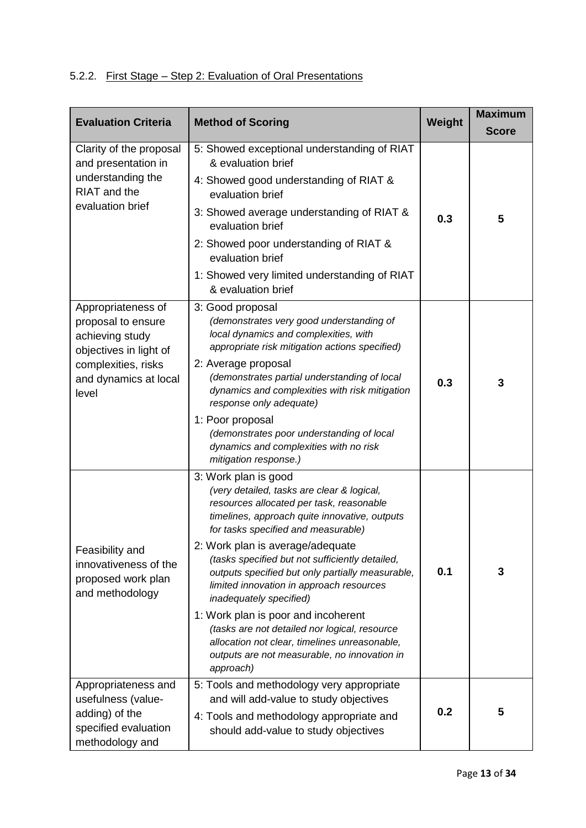# 5.2.2. First Stage – Step 2: Evaluation of Oral Presentations

| <b>Evaluation Criteria</b>                                                                                                                     | <b>Method of Scoring</b>                                                                                                                                                                                                                                                                                                                                                                                                                                                                                                                                                                                                       | Weight | <b>Maximum</b><br><b>Score</b> |
|------------------------------------------------------------------------------------------------------------------------------------------------|--------------------------------------------------------------------------------------------------------------------------------------------------------------------------------------------------------------------------------------------------------------------------------------------------------------------------------------------------------------------------------------------------------------------------------------------------------------------------------------------------------------------------------------------------------------------------------------------------------------------------------|--------|--------------------------------|
| Clarity of the proposal<br>and presentation in<br>understanding the<br>RIAT and the<br>evaluation brief                                        | 5: Showed exceptional understanding of RIAT<br>& evaluation brief<br>4: Showed good understanding of RIAT &<br>evaluation brief<br>3: Showed average understanding of RIAT &<br>evaluation brief<br>2: Showed poor understanding of RIAT &<br>evaluation brief<br>1: Showed very limited understanding of RIAT<br>& evaluation brief                                                                                                                                                                                                                                                                                           | 0.3    | 5                              |
| Appropriateness of<br>proposal to ensure<br>achieving study<br>objectives in light of<br>complexities, risks<br>and dynamics at local<br>level | 3: Good proposal<br>(demonstrates very good understanding of<br>local dynamics and complexities, with<br>appropriate risk mitigation actions specified)<br>2: Average proposal<br>(demonstrates partial understanding of local<br>dynamics and complexities with risk mitigation<br>response only adequate)<br>1: Poor proposal<br>(demonstrates poor understanding of local<br>dynamics and complexities with no risk<br>mitigation response.)                                                                                                                                                                                | 0.3    | 3                              |
| Feasibility and<br>innovativeness of the<br>proposed work plan<br>and methodology                                                              | 3: Work plan is good<br>(very detailed, tasks are clear & logical,<br>resources allocated per task, reasonable<br>timelines, approach quite innovative, outputs<br>for tasks specified and measurable)<br>2: Work plan is average/adequate<br>(tasks specified but not sufficiently detailed,<br>outputs specified but only partially measurable,<br>limited innovation in approach resources<br>inadequately specified)<br>1: Work plan is poor and incoherent<br>(tasks are not detailed nor logical, resource<br>allocation not clear, timelines unreasonable,<br>outputs are not measurable, no innovation in<br>approach) | 0.1    | 3                              |
| Appropriateness and<br>usefulness (value-<br>adding) of the<br>specified evaluation<br>methodology and                                         | 5: Tools and methodology very appropriate<br>and will add-value to study objectives<br>4: Tools and methodology appropriate and<br>should add-value to study objectives                                                                                                                                                                                                                                                                                                                                                                                                                                                        | 0.2    | 5                              |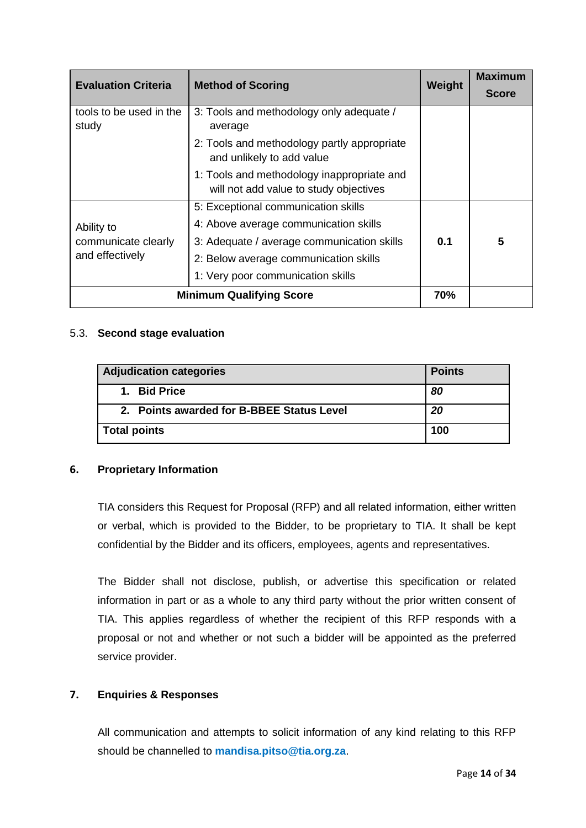| <b>Evaluation Criteria</b>       | <b>Method of Scoring</b>                                                             | Weight | <b>Maximum</b> |
|----------------------------------|--------------------------------------------------------------------------------------|--------|----------------|
|                                  |                                                                                      |        | <b>Score</b>   |
| tools to be used in the<br>study | 3: Tools and methodology only adequate /<br>average                                  |        |                |
|                                  | 2: Tools and methodology partly appropriate<br>and unlikely to add value             |        |                |
|                                  | 1: Tools and methodology inappropriate and<br>will not add value to study objectives |        |                |
|                                  | 5: Exceptional communication skills                                                  |        |                |
| Ability to                       | 4: Above average communication skills                                                |        |                |
| communicate clearly              | 3: Adequate / average communication skills                                           | 0.1    | 5              |
| and effectively                  | 2: Below average communication skills                                                |        |                |
|                                  | 1: Very poor communication skills                                                    |        |                |
| <b>Minimum Qualifying Score</b>  |                                                                                      |        |                |

### 5.3. **Second stage evaluation**

| Adjudication categories                   | <b>Points</b> |
|-------------------------------------------|---------------|
| 1. Bid Price                              | 80            |
| 2. Points awarded for B-BBEE Status Level | 20            |
| Total points                              | 100           |

### **6. Proprietary Information**

TIA considers this Request for Proposal (RFP) and all related information, either written or verbal, which is provided to the Bidder, to be proprietary to TIA. It shall be kept confidential by the Bidder and its officers, employees, agents and representatives.

The Bidder shall not disclose, publish, or advertise this specification or related information in part or as a whole to any third party without the prior written consent of TIA. This applies regardless of whether the recipient of this RFP responds with a proposal or not and whether or not such a bidder will be appointed as the preferred service provider.

## **7. Enquiries & Responses**

All communication and attempts to solicit information of any kind relating to this RFP should be channelled to **mandisa.pitso@tia.org.za**.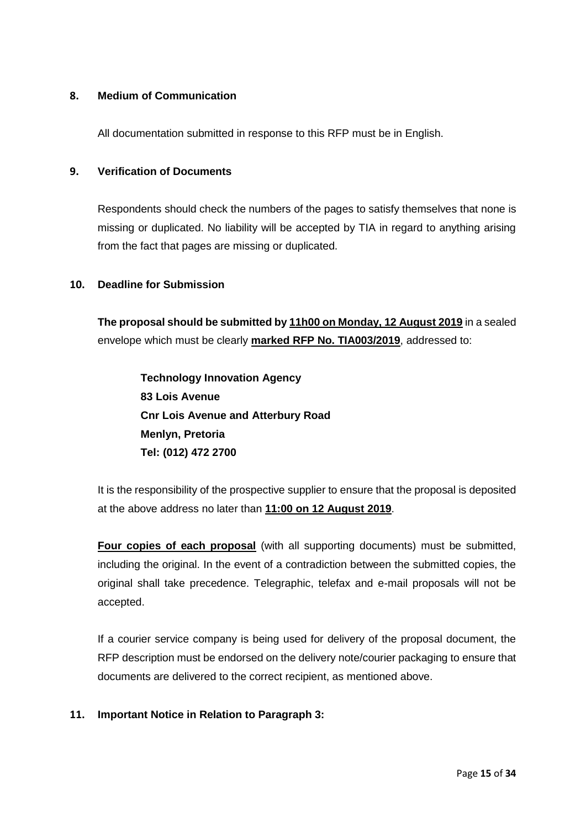### **8. Medium of Communication**

All documentation submitted in response to this RFP must be in English.

### **9. Verification of Documents**

Respondents should check the numbers of the pages to satisfy themselves that none is missing or duplicated. No liability will be accepted by TIA in regard to anything arising from the fact that pages are missing or duplicated.

### **10. Deadline for Submission**

**The proposal should be submitted by 11h00 on Monday, 12 August 2019** in a sealed envelope which must be clearly **marked RFP No. TIA003/2019**, addressed to:

**Technology Innovation Agency 83 Lois Avenue Cnr Lois Avenue and Atterbury Road Menlyn, Pretoria Tel: (012) 472 2700**

It is the responsibility of the prospective supplier to ensure that the proposal is deposited at the above address no later than **11:00 on 12 August 2019**.

**Four copies of each proposal** (with all supporting documents) must be submitted, including the original. In the event of a contradiction between the submitted copies, the original shall take precedence. Telegraphic, telefax and e-mail proposals will not be accepted.

If a courier service company is being used for delivery of the proposal document, the RFP description must be endorsed on the delivery note/courier packaging to ensure that documents are delivered to the correct recipient, as mentioned above.

### **11. Important Notice in Relation to Paragraph 3:**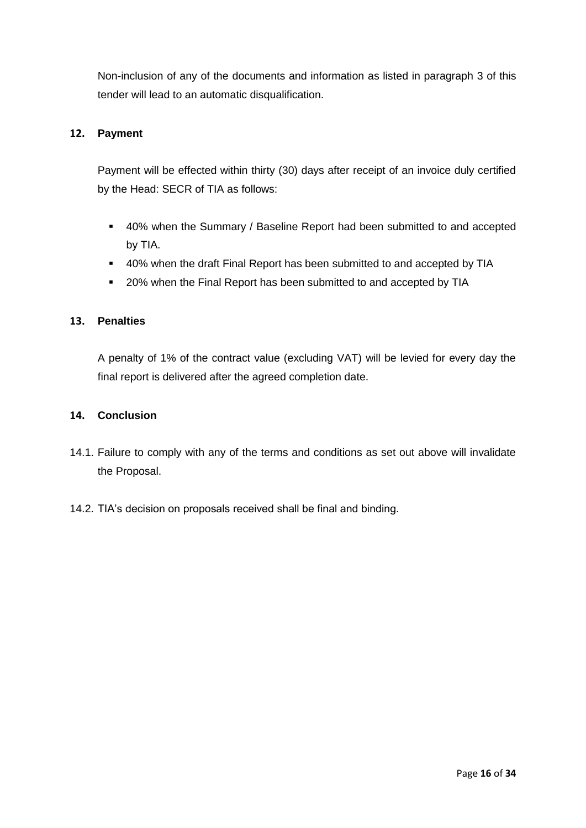Non-inclusion of any of the documents and information as listed in paragraph 3 of this tender will lead to an automatic disqualification.

### **12. Payment**

Payment will be effected within thirty (30) days after receipt of an invoice duly certified by the Head: SECR of TIA as follows:

- 40% when the Summary / Baseline Report had been submitted to and accepted by TIA.
- 40% when the draft Final Report has been submitted to and accepted by TIA
- 20% when the Final Report has been submitted to and accepted by TIA

## **13. Penalties**

A penalty of 1% of the contract value (excluding VAT) will be levied for every day the final report is delivered after the agreed completion date.

### **14. Conclusion**

- 14.1. Failure to comply with any of the terms and conditions as set out above will invalidate the Proposal.
- 14.2. TIA's decision on proposals received shall be final and binding.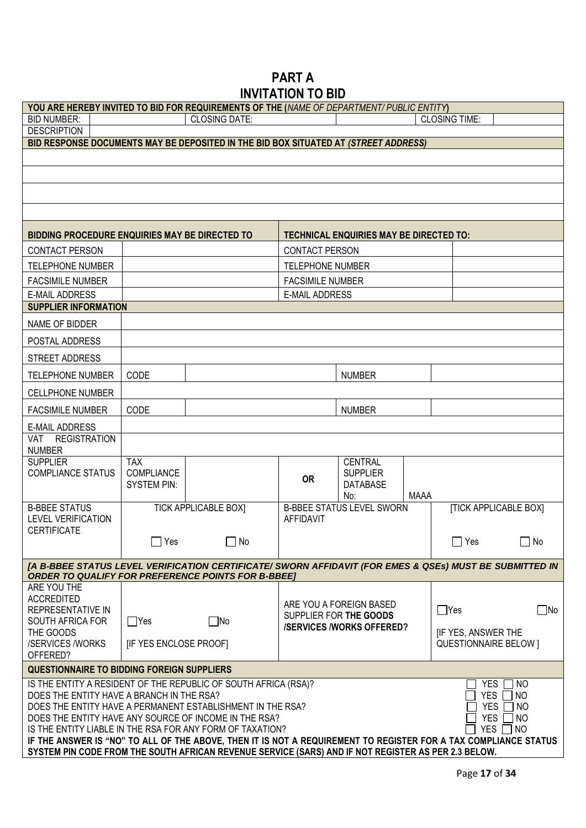# **PART A INVITATION TO BID**

| YOU ARE HEREBY INVITED TO BID FOR REQUIREMENTS OF THE (NAME OF DEPARTMENT/PUBLIC ENTITY)                        |                                                                                                                                                               |                             |                         |                                                   |             |                                                           |           |
|-----------------------------------------------------------------------------------------------------------------|---------------------------------------------------------------------------------------------------------------------------------------------------------------|-----------------------------|-------------------------|---------------------------------------------------|-------------|-----------------------------------------------------------|-----------|
| <b>BID NUMBER:</b>                                                                                              |                                                                                                                                                               | <b>CLOSING DATE:</b>        |                         |                                                   |             | <b>CLOSING TIME:</b>                                      |           |
| <b>DESCRIPTION</b>                                                                                              |                                                                                                                                                               |                             |                         |                                                   |             |                                                           |           |
| BID RESPONSE DOCUMENTS MAY BE DEPOSITED IN THE BID BOX SITUATED AT (STREET ADDRESS)                             |                                                                                                                                                               |                             |                         |                                                   |             |                                                           |           |
|                                                                                                                 |                                                                                                                                                               |                             |                         |                                                   |             |                                                           |           |
|                                                                                                                 |                                                                                                                                                               |                             |                         |                                                   |             |                                                           |           |
|                                                                                                                 |                                                                                                                                                               |                             |                         |                                                   |             |                                                           |           |
|                                                                                                                 |                                                                                                                                                               |                             |                         |                                                   |             |                                                           |           |
| <b>BIDDING PROCEDURE ENQUIRIES MAY BE DIRECTED TO</b>                                                           |                                                                                                                                                               |                             |                         | <b>TECHNICAL ENQUIRIES MAY BE DIRECTED TO:</b>    |             |                                                           |           |
| <b>CONTACT PERSON</b>                                                                                           |                                                                                                                                                               |                             | <b>CONTACT PERSON</b>   |                                                   |             |                                                           |           |
| <b>TELEPHONE NUMBER</b>                                                                                         |                                                                                                                                                               |                             | TELEPHONE NUMBER        |                                                   |             |                                                           |           |
| <b>FACSIMILE NUMBER</b>                                                                                         |                                                                                                                                                               |                             | <b>FACSIMILE NUMBER</b> |                                                   |             |                                                           |           |
| <b>E-MAIL ADDRESS</b>                                                                                           |                                                                                                                                                               |                             | <b>E-MAIL ADDRESS</b>   |                                                   |             |                                                           |           |
| <b>SUPPLIER INFORMATION</b>                                                                                     |                                                                                                                                                               |                             |                         |                                                   |             |                                                           |           |
| NAME OF BIDDER                                                                                                  |                                                                                                                                                               |                             |                         |                                                   |             |                                                           |           |
| POSTAL ADDRESS                                                                                                  |                                                                                                                                                               |                             |                         |                                                   |             |                                                           |           |
| STREET ADDRESS                                                                                                  |                                                                                                                                                               |                             |                         |                                                   |             |                                                           |           |
| <b>TELEPHONE NUMBER</b>                                                                                         | CODE                                                                                                                                                          |                             |                         | <b>NUMBER</b>                                     |             |                                                           |           |
| <b>CELLPHONE NUMBER</b>                                                                                         |                                                                                                                                                               |                             |                         |                                                   |             |                                                           |           |
| <b>FACSIMILE NUMBER</b>                                                                                         | CODE                                                                                                                                                          |                             |                         | <b>NUMBER</b>                                     |             |                                                           |           |
| <b>E-MAIL ADDRESS</b>                                                                                           |                                                                                                                                                               |                             |                         |                                                   |             |                                                           |           |
| VAT REGISTRATION<br><b>NUMBER</b>                                                                               |                                                                                                                                                               |                             |                         |                                                   |             |                                                           |           |
| <b>SUPPLIER</b>                                                                                                 | <b>TAX</b>                                                                                                                                                    |                             |                         | <b>CENTRAL</b>                                    |             |                                                           |           |
| <b>COMPLIANCE STATUS</b>                                                                                        | COMPLIANCE                                                                                                                                                    |                             | <b>OR</b>               | <b>SUPPLIER</b>                                   |             |                                                           |           |
|                                                                                                                 | <b>SYSTEM PIN:</b>                                                                                                                                            |                             |                         | <b>DATABASE</b><br>No:                            | <b>MAAA</b> |                                                           |           |
| <b>B-BBEE STATUS</b>                                                                                            |                                                                                                                                                               | <b>TICK APPLICABLE BOXI</b> |                         | <b>B-BBEE STATUS LEVEL SWORN</b>                  |             | <b>ITICK APPLICABLE BOXI</b>                              |           |
| <b>LEVEL VERIFICATION</b>                                                                                       |                                                                                                                                                               |                             | <b>AFFIDAVIT</b>        |                                                   |             |                                                           |           |
| <b>CERTIFICATE</b>                                                                                              |                                                                                                                                                               |                             |                         |                                                   |             |                                                           |           |
|                                                                                                                 | $\Box$ Yes                                                                                                                                                    | $\Box$ No                   |                         |                                                   |             | $\Box$ Yes                                                | $\Box$ No |
| [A B-BBEE STATUS LEVEL VERIFICATION CERTIFICATE/ SWORN AFFIDAVIT (FOR EMES & QSEs) MUST BE SUBMITTED IN         |                                                                                                                                                               |                             |                         |                                                   |             |                                                           |           |
| <b>ORDER TO QUALIFY FOR PREFERENCE POINTS FOR B-BBEE]</b><br>ARE YOU THE                                        |                                                                                                                                                               |                             |                         |                                                   |             |                                                           |           |
| <b>ACCREDITED</b>                                                                                               |                                                                                                                                                               |                             |                         |                                                   |             |                                                           |           |
| REPRESENTATIVE IN                                                                                               |                                                                                                                                                               |                             |                         | ARE YOU A FOREIGN BASED<br>SUPPLIER FOR THE GOODS |             | $\Box$ Yes                                                | $\Box$ No |
| SOUTH AFRICA FOR                                                                                                | $\Box$ Yes                                                                                                                                                    | $\square$ No                |                         | <b>/SERVICES /WORKS OFFERED?</b>                  |             |                                                           |           |
| THE GOODS<br>/SERVICES /WORKS                                                                                   | [IF YES ENCLOSE PROOF]                                                                                                                                        |                             |                         |                                                   |             | <b>IF YES, ANSWER THE</b><br><b>QUESTIONNAIRE BELOW 1</b> |           |
| OFFERED?                                                                                                        |                                                                                                                                                               |                             |                         |                                                   |             |                                                           |           |
| <b>QUESTIONNAIRE TO BIDDING FOREIGN SUPPLIERS</b>                                                               |                                                                                                                                                               |                             |                         |                                                   |             |                                                           |           |
| IS THE ENTITY A RESIDENT OF THE REPUBLIC OF SOUTH AFRICA (RSA)?                                                 |                                                                                                                                                               |                             |                         |                                                   |             | <b>YES</b>                                                | ∏ NO      |
| YES  <br>DOES THE ENTITY HAVE A BRANCH IN THE RSA?<br><b>NO</b>                                                 |                                                                                                                                                               |                             |                         |                                                   |             |                                                           |           |
|                                                                                                                 | DOES THE ENTITY HAVE A PERMANENT ESTABLISHMENT IN THE RSA?<br><b>YES</b><br>NO.<br>DOES THE ENTITY HAVE ANY SOURCE OF INCOME IN THE RSA?<br>YES<br><b>INO</b> |                             |                         |                                                   |             |                                                           |           |
| IS THE ENTITY LIABLE IN THE RSA FOR ANY FORM OF TAXATION?                                                       |                                                                                                                                                               |                             |                         |                                                   |             | YES I                                                     | NO        |
| IF THE ANSWER IS "NO" TO ALL OF THE ABOVE, THEN IT IS NOT A REQUIREMENT TO REGISTER FOR A TAX COMPLIANCE STATUS |                                                                                                                                                               |                             |                         |                                                   |             |                                                           |           |
| SYSTEM PIN CODE FROM THE SOUTH AFRICAN REVENUE SERVICE (SARS) AND IF NOT REGISTER AS PER 2.3 BELOW.             |                                                                                                                                                               |                             |                         |                                                   |             |                                                           |           |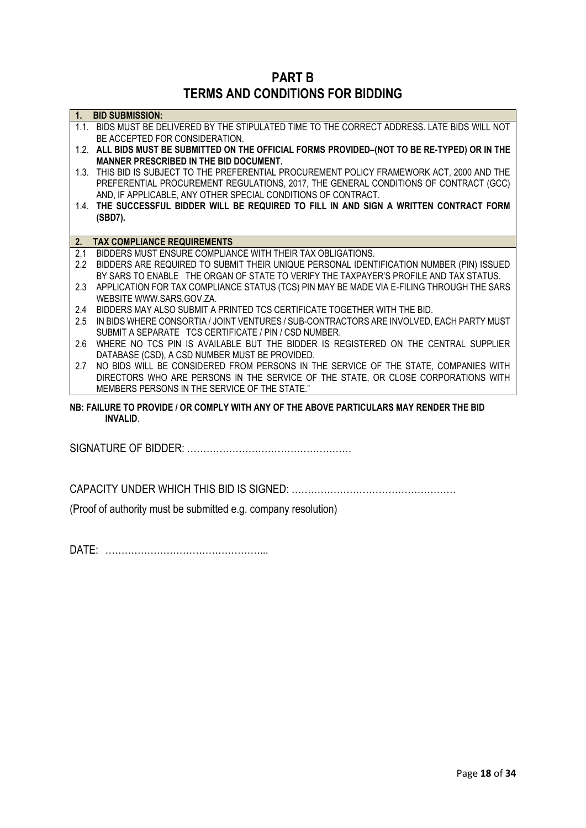**PART B TERMS AND CONDITIONS FOR BIDDING**

| 1 <sub>1</sub> | <b>BID SUBMISSION:</b>                                                                                                                            |
|----------------|---------------------------------------------------------------------------------------------------------------------------------------------------|
|                | 1.1. BIDS MUST BE DELIVERED BY THE STIPULATED TIME TO THE CORRECT ADDRESS. LATE BIDS WILL NOT                                                     |
|                | BE ACCEPTED FOR CONSIDERATION.                                                                                                                    |
|                | 1.2. ALL BIDS MUST BE SUBMITTED ON THE OFFICIAL FORMS PROVIDED-(NOT TO BE RE-TYPED) OR IN THE                                                     |
|                | MANNER PRESCRIBED IN THE BID DOCUMENT.                                                                                                            |
|                | 1.3. THIS BID IS SUBJECT TO THE PREFERENTIAL PROCUREMENT POLICY FRAMEWORK ACT, 2000 AND THE                                                       |
|                | PREFERENTIAL PROCUREMENT REGULATIONS, 2017, THE GENERAL CONDITIONS OF CONTRACT (GCC)                                                              |
|                | AND, IF APPLICABLE, ANY OTHER SPECIAL CONDITIONS OF CONTRACT.                                                                                     |
|                | 1.4. THE SUCCESSFUL BIDDER WILL BE REQUIRED TO FILL IN AND SIGN A WRITTEN CONTRACT FORM                                                           |
|                | (SBD7).                                                                                                                                           |
|                |                                                                                                                                                   |
| 2.             | <b>TAX COMPLIANCE REQUIREMENTS</b>                                                                                                                |
| 2.1            | BIDDERS MUST ENSURE COMPLIANCE WITH THEIR TAX OBLIGATIONS.                                                                                        |
| 2.2            | BIDDERS ARE REQUIRED TO SUBMIT THEIR UNIQUE PERSONAL IDENTIFICATION NUMBER (PIN) ISSUED                                                           |
|                | BY SARS TO ENABLE THE ORGAN OF STATE TO VERIFY THE TAXPAYER'S PROFILE AND TAX STATUS.                                                             |
| 2.3            | APPLICATION FOR TAX COMPLIANCE STATUS (TCS) PIN MAY BE MADE VIA E-FILING THROUGH THE SARS                                                         |
|                | WEBSITE WWW.SARS.GOV.ZA.                                                                                                                          |
| 2.4            | BIDDERS MAY ALSO SUBMIT A PRINTED TCS CERTIFICATE TOGETHER WITH THE BID.                                                                          |
| 2.5            | IN BIDS WHERE CONSORTIA / JOINT VENTURES / SUB-CONTRACTORS ARE INVOLVED, EACH PARTY MUST<br>SUBMIT A SEPARATE TCS CERTIFICATE / PIN / CSD NUMBER. |
| 2.6            | WHERE NO TCS PIN IS AVAILABLE BUT THE BIDDER IS REGISTERED ON THE CENTRAL SUPPLIER                                                                |
|                | DATABASE (CSD), A CSD NUMBER MUST BE PROVIDED.                                                                                                    |
| 2.7            | NO BIDS WILL BE CONSIDERED FROM PERSONS IN THE SERVICE OF THE STATE, COMPANIES WITH                                                               |
|                | DIRECTORS WHO ARE PERSONS IN THE SERVICE OF THE STATE, OR CLOSE CORPORATIONS WITH                                                                 |
|                | MEMBERS PERSONS IN THE SERVICE OF THE STATE."                                                                                                     |
|                |                                                                                                                                                   |
|                | NB: FAILURE TO PROVIDE / OR COMPLY WITH ANY OF THE ABOVE PARTICULARS MAY RENDER THE BID                                                           |
|                | <b>INVALID.</b>                                                                                                                                   |
|                |                                                                                                                                                   |

SIGNATURE OF BIDDER: ……………………………………………

CAPACITY UNDER WHICH THIS BID IS SIGNED: ……………………………………………

(Proof of authority must be submitted e.g. company resolution)

DATE: …………………………………………...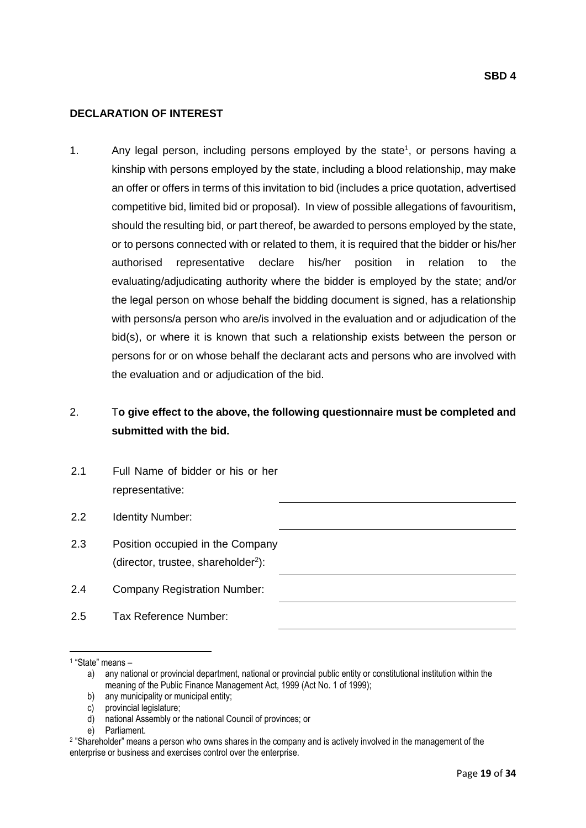### **DECLARATION OF INTEREST**

1. Any legal person, including persons employed by the state<sup>1</sup>, or persons having a kinship with persons employed by the state, including a blood relationship, may make an offer or offers in terms of this invitation to bid (includes a price quotation, advertised competitive bid, limited bid or proposal). In view of possible allegations of favouritism, should the resulting bid, or part thereof, be awarded to persons employed by the state, or to persons connected with or related to them, it is required that the bidder or his/her authorised representative declare his/her position in relation to the evaluating/adjudicating authority where the bidder is employed by the state; and/or the legal person on whose behalf the bidding document is signed, has a relationship with persons/a person who are/is involved in the evaluation and or adjudication of the bid(s), or where it is known that such a relationship exists between the person or persons for or on whose behalf the declarant acts and persons who are involved with the evaluation and or adjudication of the bid.

# 2. T**o give effect to the above, the following questionnaire must be completed and submitted with the bid.**

2.1 Full Name of bidder or his or her representative: 2.2 Identity Number: 2.3 Position occupied in the Company (director, trustee, shareholder<sup>2</sup>): 2.4 Company Registration Number: 2.5 Tax Reference Number:

 $\overline{\phantom{a}}$ 

<sup>1</sup> "State" means –

a) any national or provincial department, national or provincial public entity or constitutional institution within the meaning of the Public Finance Management Act, 1999 (Act No. 1 of 1999);

b) any municipality or municipal entity;

c) provincial legislature;

d) national Assembly or the national Council of provinces; or

e) Parliament.

<sup>2</sup> "Shareholder" means a person who owns shares in the company and is actively involved in the management of the enterprise or business and exercises control over the enterprise.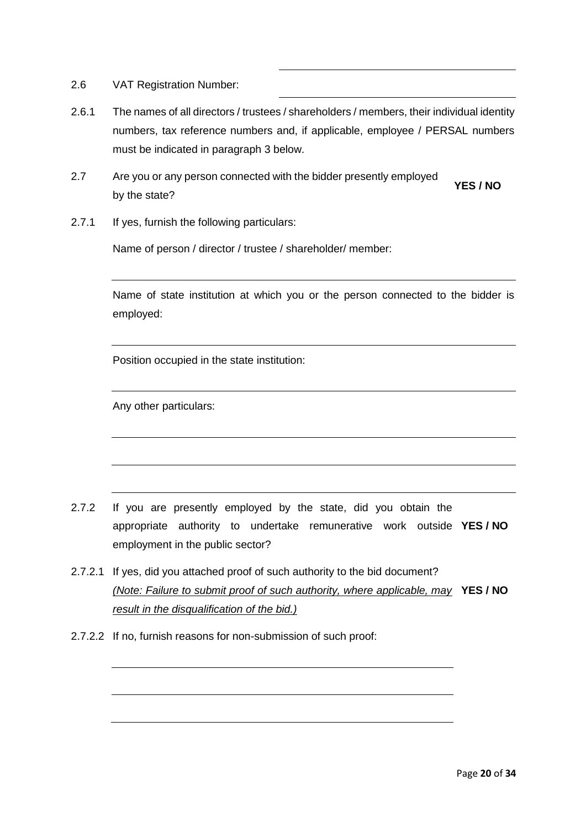- 2.6 VAT Registration Number:
- 2.6.1 The names of all directors / trustees / shareholders / members, their individual identity numbers, tax reference numbers and, if applicable, employee / PERSAL numbers must be indicated in paragraph 3 below.
- 2.7 Are you or any person connected with the bidder presently employed by the state? **YES / NO**
- 2.7.1 If yes, furnish the following particulars:

Name of person / director / trustee / shareholder/ member:

Name of state institution at which you or the person connected to the bidder is employed:

Position occupied in the state institution:

Any other particulars:

- 2.7.2 If you are presently employed by the state, did you obtain the appropriate authority to undertake remunerative work outside **YES / NO** employment in the public sector?
- 2.7.2.1 If yes, did you attached proof of such authority to the bid document? *(Note: Failure to submit proof of such authority, where applicable, may*  **YES / NO** *result in the disqualification of the bid.)*
- 2.7.2.2 If no, furnish reasons for non-submission of such proof: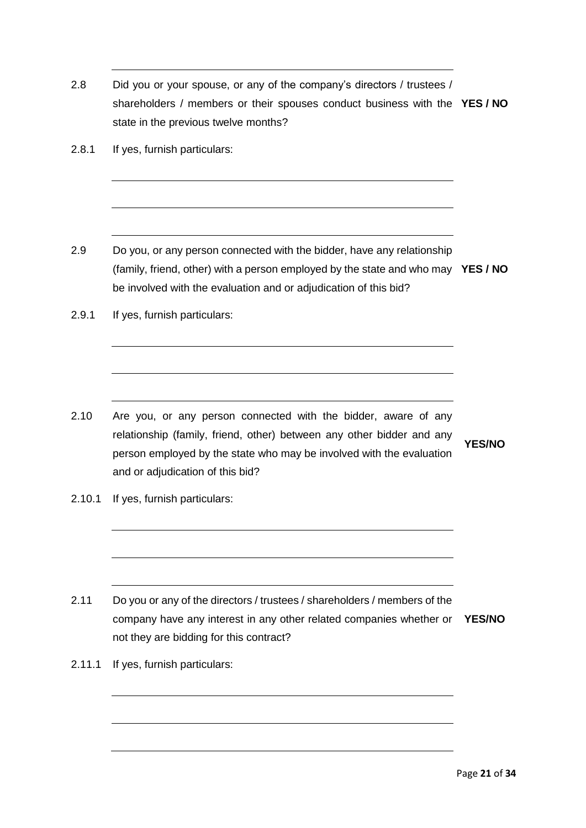2.8 Did you or your spouse, or any of the company's directors / trustees / shareholders / members or their spouses conduct business with the **YES / NO** state in the previous twelve months? 2.8.1 If yes, furnish particulars: 2.9 Do you, or any person connected with the bidder, have any relationship (family, friend, other) with a person employed by the state and who may **YES / NO** be involved with the evaluation and or adjudication of this bid? 2.9.1 If yes, furnish particulars: 2.10 Are you, or any person connected with the bidder, aware of any relationship (family, friend, other) between any other bidder and any person employed by the state who may be involved with the evaluation and or adjudication of this bid? **YES/NO** 2.10.1 If yes, furnish particulars: 2.11 Do you or any of the directors / trustees / shareholders / members of the company have any interest in any other related companies whether or **YES/NO** not they are bidding for this contract? 2.11.1 If yes, furnish particulars: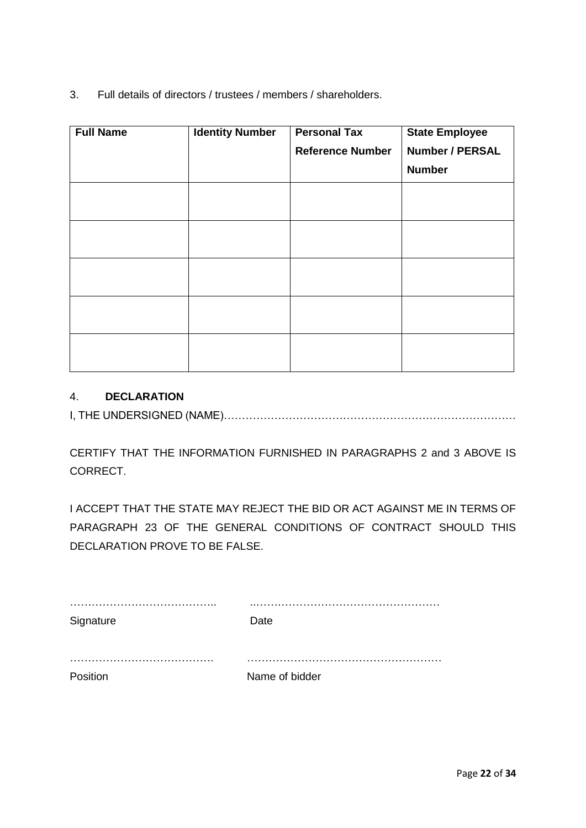3. Full details of directors / trustees / members / shareholders.

| <b>Full Name</b> | <b>Identity Number</b> | <b>Personal Tax</b>     | <b>State Employee</b>  |
|------------------|------------------------|-------------------------|------------------------|
|                  |                        | <b>Reference Number</b> | <b>Number / PERSAL</b> |
|                  |                        |                         | <b>Number</b>          |
|                  |                        |                         |                        |
|                  |                        |                         |                        |
|                  |                        |                         |                        |
|                  |                        |                         |                        |
|                  |                        |                         |                        |
|                  |                        |                         |                        |

## 4. **DECLARATION**

I, THE UNDERSIGNED (NAME)………………………………………………………………………

CERTIFY THAT THE INFORMATION FURNISHED IN PARAGRAPHS 2 and 3 ABOVE IS CORRECT.

I ACCEPT THAT THE STATE MAY REJECT THE BID OR ACT AGAINST ME IN TERMS OF PARAGRAPH 23 OF THE GENERAL CONDITIONS OF CONTRACT SHOULD THIS DECLARATION PROVE TO BE FALSE.

| Signature | Date           |
|-----------|----------------|
|           |                |
|           |                |
|           |                |
| Position  | Name of bidder |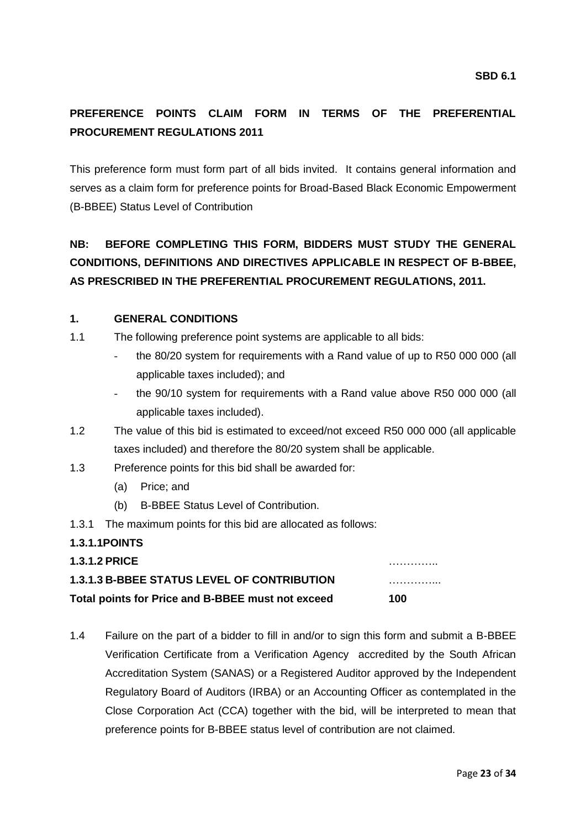# **PREFERENCE POINTS CLAIM FORM IN TERMS OF THE PREFERENTIAL PROCUREMENT REGULATIONS 2011**

This preference form must form part of all bids invited. It contains general information and serves as a claim form for preference points for Broad-Based Black Economic Empowerment (B-BBEE) Status Level of Contribution

# **NB: BEFORE COMPLETING THIS FORM, BIDDERS MUST STUDY THE GENERAL CONDITIONS, DEFINITIONS AND DIRECTIVES APPLICABLE IN RESPECT OF B-BBEE, AS PRESCRIBED IN THE PREFERENTIAL PROCUREMENT REGULATIONS, 2011.**

### **1. GENERAL CONDITIONS**

- 1.1 The following preference point systems are applicable to all bids:
	- the 80/20 system for requirements with a Rand value of up to R50 000 000 (all applicable taxes included); and
	- the 90/10 system for requirements with a Rand value above R50 000 000 (all applicable taxes included).
- 1.2 The value of this bid is estimated to exceed/not exceed R50 000 000 (all applicable taxes included) and therefore the 80/20 system shall be applicable.
- 1.3 Preference points for this bid shall be awarded for:
	- (a) Price; and
	- (b) B-BBEE Status Level of Contribution.
- 1.3.1 The maximum points for this bid are allocated as follows:

### **1.3.1.1POINTS**

**1.3.1.2 PRICE** …………..

## **1.3.1.3 B-BBEE STATUS LEVEL OF CONTRIBUTION** …………...

**Total points for Price and B-BBEE must not exceed 100**

1.4 Failure on the part of a bidder to fill in and/or to sign this form and submit a B-BBEE Verification Certificate from a Verification Agency accredited by the South African Accreditation System (SANAS) or a Registered Auditor approved by the Independent Regulatory Board of Auditors (IRBA) or an Accounting Officer as contemplated in the Close Corporation Act (CCA) together with the bid, will be interpreted to mean that preference points for B-BBEE status level of contribution are not claimed.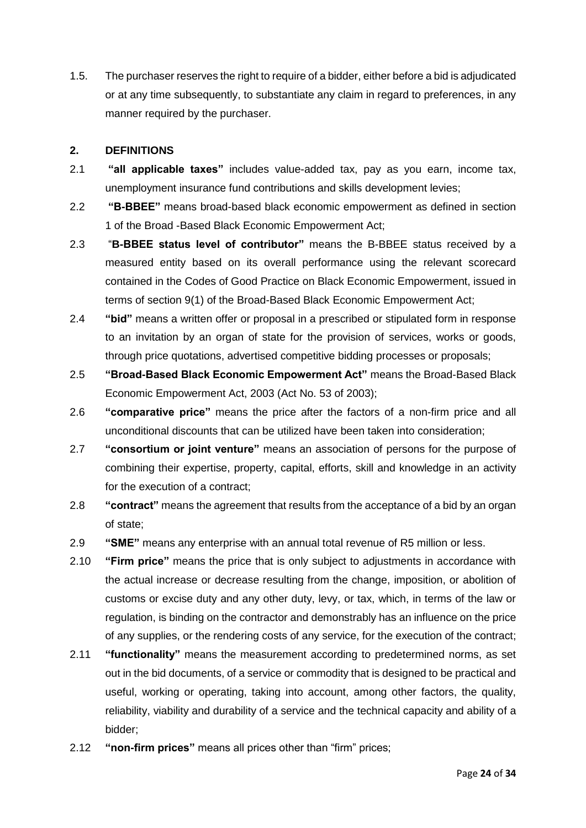1.5. The purchaser reserves the right to require of a bidder, either before a bid is adjudicated or at any time subsequently, to substantiate any claim in regard to preferences, in any manner required by the purchaser.

### **2. DEFINITIONS**

- 2.1 **"all applicable taxes"** includes value-added tax, pay as you earn, income tax, unemployment insurance fund contributions and skills development levies;
- 2.2 **"B-BBEE"** means broad-based black economic empowerment as defined in section 1 of the Broad -Based Black Economic Empowerment Act;
- 2.3 "**B-BBEE status level of contributor"** means the B-BBEE status received by a measured entity based on its overall performance using the relevant scorecard contained in the Codes of Good Practice on Black Economic Empowerment, issued in terms of section 9(1) of the Broad-Based Black Economic Empowerment Act;
- 2.4 **"bid"** means a written offer or proposal in a prescribed or stipulated form in response to an invitation by an organ of state for the provision of services, works or goods, through price quotations, advertised competitive bidding processes or proposals;
- 2.5 **"Broad-Based Black Economic Empowerment Act"** means the Broad-Based Black Economic Empowerment Act, 2003 (Act No. 53 of 2003);
- 2.6 **"comparative price"** means the price after the factors of a non-firm price and all unconditional discounts that can be utilized have been taken into consideration;
- 2.7 **"consortium or joint venture"** means an association of persons for the purpose of combining their expertise, property, capital, efforts, skill and knowledge in an activity for the execution of a contract;
- 2.8 **"contract"** means the agreement that results from the acceptance of a bid by an organ of state;
- 2.9 **"SME"** means any enterprise with an annual total revenue of R5 million or less.
- 2.10 **"Firm price"** means the price that is only subject to adjustments in accordance with the actual increase or decrease resulting from the change, imposition, or abolition of customs or excise duty and any other duty, levy, or tax, which, in terms of the law or regulation, is binding on the contractor and demonstrably has an influence on the price of any supplies, or the rendering costs of any service, for the execution of the contract;
- 2.11 **"functionality"** means the measurement according to predetermined norms, as set out in the bid documents, of a service or commodity that is designed to be practical and useful, working or operating, taking into account, among other factors, the quality, reliability, viability and durability of a service and the technical capacity and ability of a bidder;
- 2.12 **"non-firm prices"** means all prices other than "firm" prices;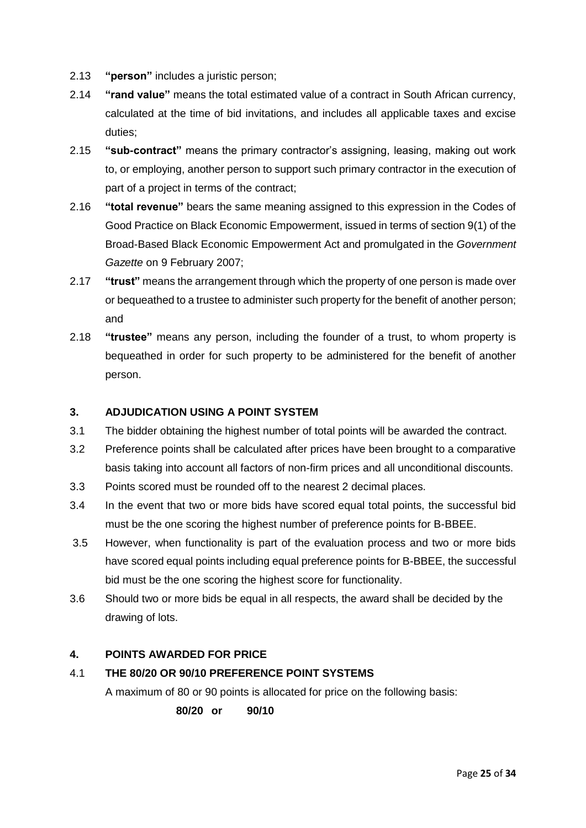- 2.13 **"person"** includes a juristic person;
- 2.14 **"rand value"** means the total estimated value of a contract in South African currency, calculated at the time of bid invitations, and includes all applicable taxes and excise duties;
- 2.15 **"sub-contract"** means the primary contractor's assigning, leasing, making out work to, or employing, another person to support such primary contractor in the execution of part of a project in terms of the contract;
- 2.16 **"total revenue"** bears the same meaning assigned to this expression in the Codes of Good Practice on Black Economic Empowerment, issued in terms of section 9(1) of the Broad-Based Black Economic Empowerment Act and promulgated in the *Government Gazette* on 9 February 2007;
- 2.17 **"trust"** means the arrangement through which the property of one person is made over or bequeathed to a trustee to administer such property for the benefit of another person; and
- 2.18 **"trustee"** means any person, including the founder of a trust, to whom property is bequeathed in order for such property to be administered for the benefit of another person.

## **3. ADJUDICATION USING A POINT SYSTEM**

- 3.1 The bidder obtaining the highest number of total points will be awarded the contract.
- 3.2 Preference points shall be calculated after prices have been brought to a comparative basis taking into account all factors of non-firm prices and all unconditional discounts.
- 3.3 Points scored must be rounded off to the nearest 2 decimal places.
- 3.4 In the event that two or more bids have scored equal total points, the successful bid must be the one scoring the highest number of preference points for B-BBEE.
- 3.5 However, when functionality is part of the evaluation process and two or more bids have scored equal points including equal preference points for B-BBEE, the successful bid must be the one scoring the highest score for functionality.
- 3.6 Should two or more bids be equal in all respects, the award shall be decided by the drawing of lots.

## **4. POINTS AWARDED FOR PRICE**

## 4.1 **THE 80/20 OR 90/10 PREFERENCE POINT SYSTEMS**

A maximum of 80 or 90 points is allocated for price on the following basis:

**80/20 or 90/10**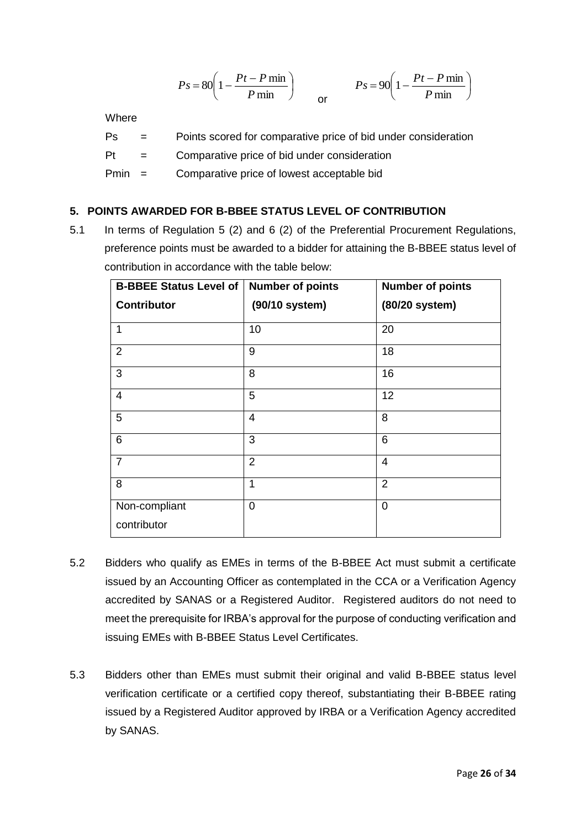$$
Ps = 80 \left( 1 - \frac{Pt - P \min P}{ \min P \min P} \right) \qquad \qquad Ps = 90 \left( 1 - \frac{Pt - P \min P}{ \min P} \right)
$$

Where

- Ps = Points scored for comparative price of bid under consideration
- Pt = Comparative price of bid under consideration

Pmin = Comparative price of lowest acceptable bid

## **5. POINTS AWARDED FOR B-BBEE STATUS LEVEL OF CONTRIBUTION**

5.1 In terms of Regulation 5 (2) and 6 (2) of the Preferential Procurement Regulations, preference points must be awarded to a bidder for attaining the B-BBEE status level of contribution in accordance with the table below:

| <b>Number of points</b> | <b>Number of points</b>       |
|-------------------------|-------------------------------|
| (90/10 system)          | (80/20 system)                |
| 10                      | 20                            |
| 9                       | 18                            |
| 8                       | 16                            |
| 5                       | 12                            |
| $\overline{4}$          | 8                             |
| 3                       | 6                             |
| $\overline{2}$          | $\overline{4}$                |
| 1                       | $\overline{2}$                |
| 0                       | $\overline{0}$                |
|                         |                               |
|                         | <b>B-BBEE Status Level of</b> |

- 5.2 Bidders who qualify as EMEs in terms of the B-BBEE Act must submit a certificate issued by an Accounting Officer as contemplated in the CCA or a Verification Agency accredited by SANAS or a Registered Auditor. Registered auditors do not need to meet the prerequisite for IRBA's approval for the purpose of conducting verification and issuing EMEs with B-BBEE Status Level Certificates.
- 5.3 Bidders other than EMEs must submit their original and valid B-BBEE status level verification certificate or a certified copy thereof, substantiating their B-BBEE rating issued by a Registered Auditor approved by IRBA or a Verification Agency accredited by SANAS.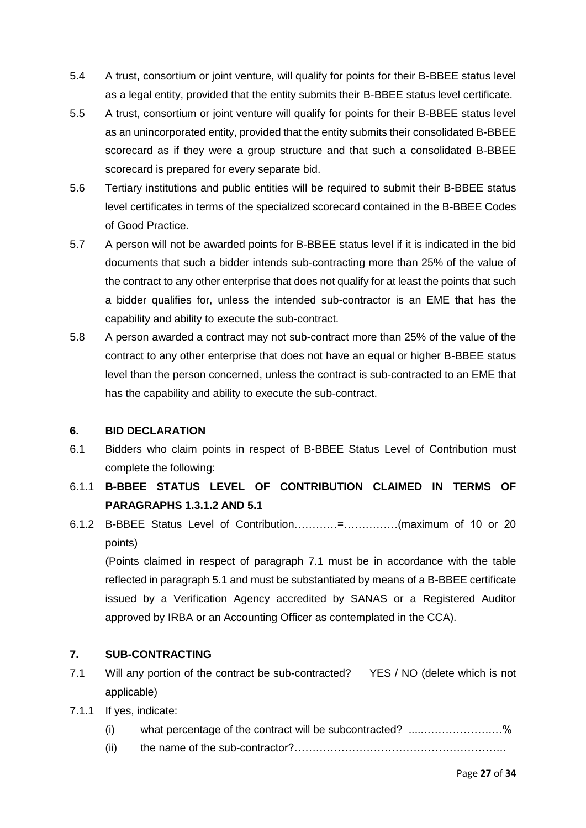- 5.4 A trust, consortium or joint venture, will qualify for points for their B-BBEE status level as a legal entity, provided that the entity submits their B-BBEE status level certificate.
- 5.5 A trust, consortium or joint venture will qualify for points for their B-BBEE status level as an unincorporated entity, provided that the entity submits their consolidated B-BBEE scorecard as if they were a group structure and that such a consolidated B-BBEE scorecard is prepared for every separate bid.
- 5.6 Tertiary institutions and public entities will be required to submit their B-BBEE status level certificates in terms of the specialized scorecard contained in the B-BBEE Codes of Good Practice.
- 5.7 A person will not be awarded points for B-BBEE status level if it is indicated in the bid documents that such a bidder intends sub-contracting more than 25% of the value of the contract to any other enterprise that does not qualify for at least the points that such a bidder qualifies for, unless the intended sub-contractor is an EME that has the capability and ability to execute the sub-contract.
- 5.8 A person awarded a contract may not sub-contract more than 25% of the value of the contract to any other enterprise that does not have an equal or higher B-BBEE status level than the person concerned, unless the contract is sub-contracted to an EME that has the capability and ability to execute the sub-contract.

## **6. BID DECLARATION**

- 6.1 Bidders who claim points in respect of B-BBEE Status Level of Contribution must complete the following:
- 6.1.1 **B-BBEE STATUS LEVEL OF CONTRIBUTION CLAIMED IN TERMS OF PARAGRAPHS 1.3.1.2 AND 5.1**
- 6.1.2 B-BBEE Status Level of Contribution…………=……………(maximum of 10 or 20 points)

(Points claimed in respect of paragraph 7.1 must be in accordance with the table reflected in paragraph 5.1 and must be substantiated by means of a B-BBEE certificate issued by a Verification Agency accredited by SANAS or a Registered Auditor approved by IRBA or an Accounting Officer as contemplated in the CCA).

## **7. SUB-CONTRACTING**

- 7.1 Will any portion of the contract be sub-contracted? YES / NO (delete which is not applicable)
- 7.1.1 If yes, indicate:
	- (i) what percentage of the contract will be subcontracted? .....……………….…%
	- (ii) the name of the sub-contractor?…………………………………………………..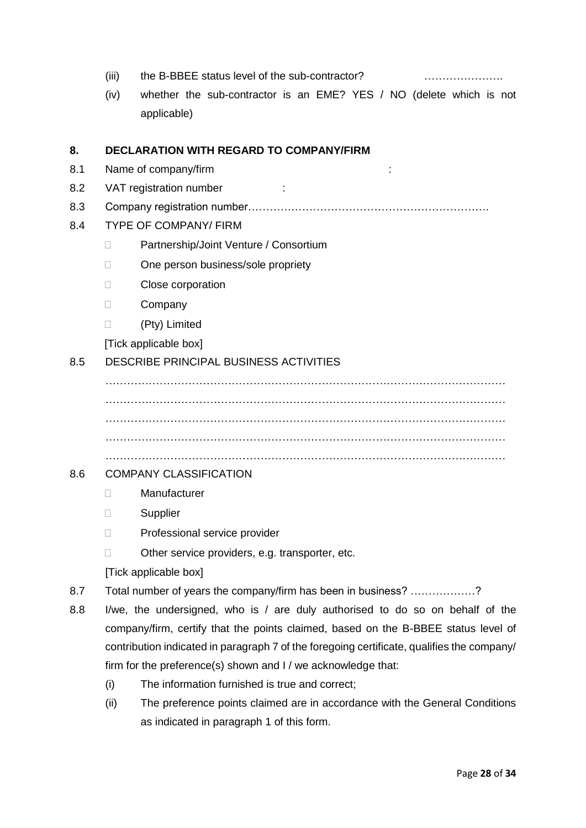- (iii) the B-BBEE status level of the sub-contractor? ………………………………………………………………………
- (iv) whether the sub-contractor is an EME? YES / NO (delete which is not applicable)

### **8. DECLARATION WITH REGARD TO COMPANY/FIRM**

- 8.1 Name of company/firm :
- 8.2 VAT registration number :
- 8.3 Company registration number………………………………………………………….
- 8.4 TYPE OF COMPANY/ FIRM
	- □ Partnership/Joint Venture / Consortium
	- □ One person business/sole propriety
	- D Close corporation
	- Company
	- (Pty) Limited

[Tick applicable box]

### 8.5 DESCRIBE PRINCIPAL BUSINESS ACTIVITIES

………………………………………………………………………………………………… ………………………………………………………………………………………………… ………………………………………………………………………………………………… ………………………………………………………………………………………………… …………………………………………………………………………………………………

### 8.6 COMPANY CLASSIFICATION

- Manufacturer
- Supplier
- D Professional service provider
- □ Other service providers, e.g. transporter, etc.
- [Tick applicable box]
- 8.7 Total number of years the company/firm has been in business? ………………?
- 8.8 I/we, the undersigned, who is / are duly authorised to do so on behalf of the company/firm, certify that the points claimed, based on the B-BBEE status level of contribution indicated in paragraph 7 of the foregoing certificate, qualifies the company/ firm for the preference(s) shown and I / we acknowledge that:
	- (i) The information furnished is true and correct;
	- (ii) The preference points claimed are in accordance with the General Conditions as indicated in paragraph 1 of this form.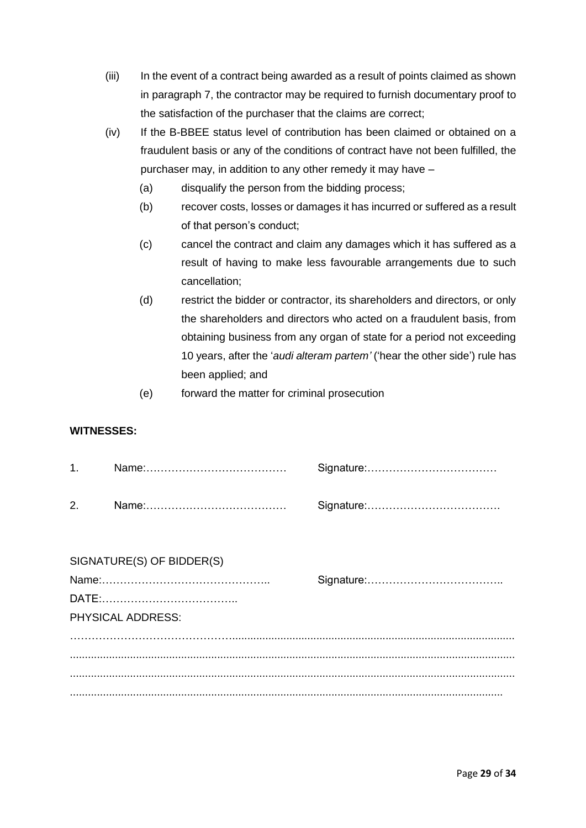- (iii) In the event of a contract being awarded as a result of points claimed as shown in paragraph 7, the contractor may be required to furnish documentary proof to the satisfaction of the purchaser that the claims are correct;
- (iv) If the B-BBEE status level of contribution has been claimed or obtained on a fraudulent basis or any of the conditions of contract have not been fulfilled, the purchaser may, in addition to any other remedy it may have –
	- (a) disqualify the person from the bidding process;
	- (b) recover costs, losses or damages it has incurred or suffered as a result of that person's conduct;
	- (c) cancel the contract and claim any damages which it has suffered as a result of having to make less favourable arrangements due to such cancellation;
	- (d) restrict the bidder or contractor, its shareholders and directors, or only the shareholders and directors who acted on a fraudulent basis, from obtaining business from any organ of state for a period not exceeding 10 years, after the '*audi alteram partem'* ('hear the other side') rule has been applied; and
	- (e) forward the matter for criminal prosecution

### **WITNESSES:**

| 2. |  |
|----|--|

| SIGNATURE(S) OF BIDDER(S) |  |
|---------------------------|--|
|                           |  |
|                           |  |
| <b>PHYSICAL ADDRESS:</b>  |  |
|                           |  |
|                           |  |
|                           |  |
|                           |  |
|                           |  |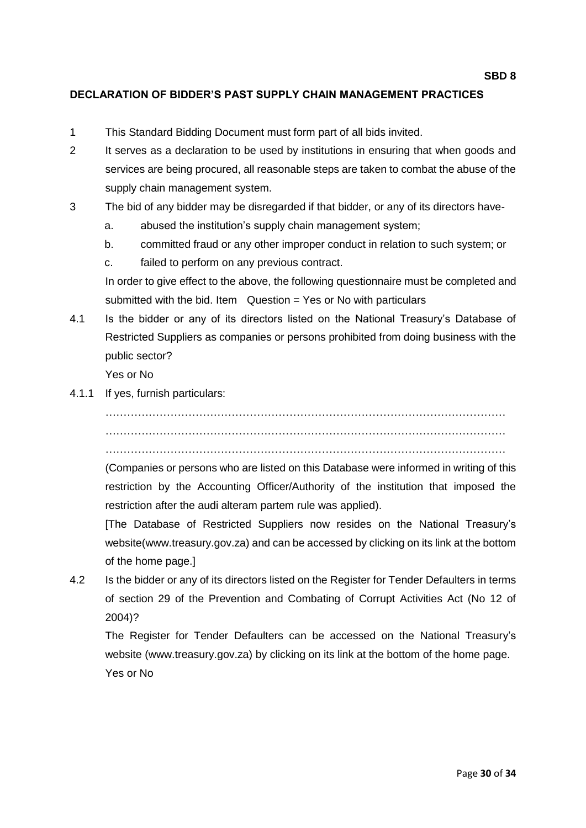### **DECLARATION OF BIDDER'S PAST SUPPLY CHAIN MANAGEMENT PRACTICES**

- 1 This Standard Bidding Document must form part of all bids invited.
- 2 It serves as a declaration to be used by institutions in ensuring that when goods and services are being procured, all reasonable steps are taken to combat the abuse of the supply chain management system.
- 3 The bid of any bidder may be disregarded if that bidder, or any of its directors have
	- a. abused the institution's supply chain management system;
	- b. committed fraud or any other improper conduct in relation to such system; or
	- c. failed to perform on any previous contract.

In order to give effect to the above, the following questionnaire must be completed and submitted with the bid. Item  $Q$ uestion = Yes or No with particulars

4.1 Is the bidder or any of its directors listed on the National Treasury's Database of Restricted Suppliers as companies or persons prohibited from doing business with the public sector?

Yes or No

4.1.1 If yes, furnish particulars:

………………………………………………………………………………………………… …………………………………………………………………………………………………

…………………………………………………………………………………………………

(Companies or persons who are listed on this Database were informed in writing of this restriction by the Accounting Officer/Authority of the institution that imposed the restriction after the audi alteram partem rule was applied).

[The Database of Restricted Suppliers now resides on the National Treasury's website(www.treasury.gov.za) and can be accessed by clicking on its link at the bottom of the home page.]

4.2 Is the bidder or any of its directors listed on the Register for Tender Defaulters in terms of section 29 of the Prevention and Combating of Corrupt Activities Act (No 12 of 2004)?

The Register for Tender Defaulters can be accessed on the National Treasury's website (www.treasury.gov.za) by clicking on its link at the bottom of the home page. Yes or No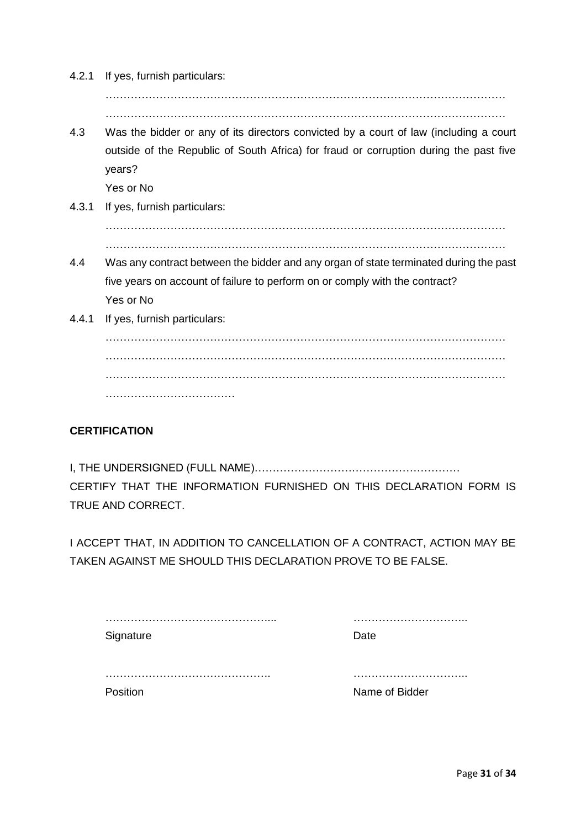| 4.2.1 | If yes, furnish particulars:                                                          |
|-------|---------------------------------------------------------------------------------------|
|       |                                                                                       |
|       |                                                                                       |
| 4.3   | Was the bidder or any of its directors convicted by a court of law (including a court |
|       | outside of the Republic of South Africa) for fraud or corruption during the past five |
|       | years?                                                                                |
|       | Yes or No                                                                             |
| 4.3.1 | If yes, furnish particulars:                                                          |
|       |                                                                                       |
|       |                                                                                       |
| 4.4   | Was any contract between the bidder and any organ of state terminated during the past |
|       | five years on account of failure to perform on or comply with the contract?           |
|       | Yes or No                                                                             |
| 4.4.1 | If yes, furnish particulars:                                                          |
|       |                                                                                       |
|       |                                                                                       |
|       |                                                                                       |
|       |                                                                                       |

## **CERTIFICATION**

I, THE UNDERSIGNED (FULL NAME)………………………………………………… CERTIFY THAT THE INFORMATION FURNISHED ON THIS DECLARATION FORM IS TRUE AND CORRECT.

I ACCEPT THAT, IN ADDITION TO CANCELLATION OF A CONTRACT, ACTION MAY BE TAKEN AGAINST ME SHOULD THIS DECLARATION PROVE TO BE FALSE.

| Signature | Date           |
|-----------|----------------|
|           |                |
| Position  | Name of Bidder |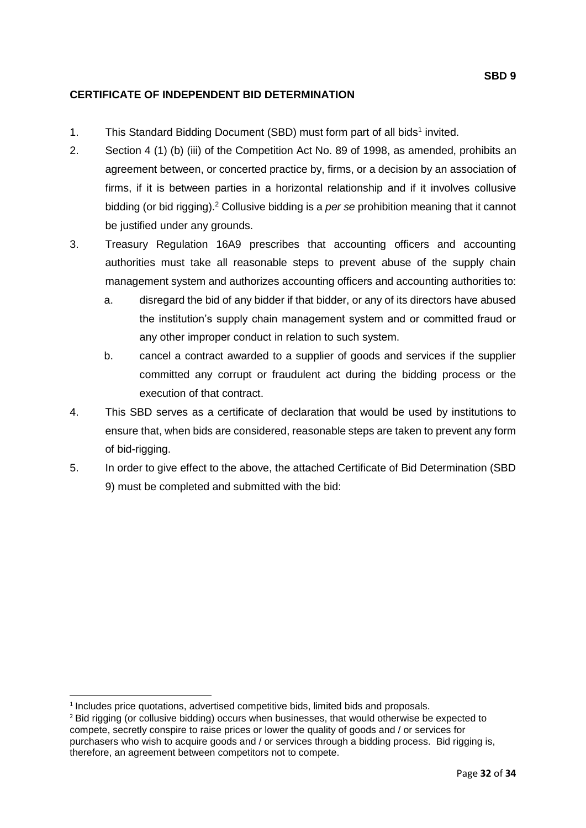## **CERTIFICATE OF INDEPENDENT BID DETERMINATION**

- 1. This Standard Bidding Document (SBD) must form part of all bids<sup>1</sup> invited.
- 2. Section 4 (1) (b) (iii) of the Competition Act No. 89 of 1998, as amended, prohibits an agreement between, or concerted practice by, firms, or a decision by an association of firms, if it is between parties in a horizontal relationship and if it involves collusive bidding (or bid rigging).<sup>2</sup> Collusive bidding is a *per se* prohibition meaning that it cannot be justified under any grounds.
- 3. Treasury Regulation 16A9 prescribes that accounting officers and accounting authorities must take all reasonable steps to prevent abuse of the supply chain management system and authorizes accounting officers and accounting authorities to:
	- a. disregard the bid of any bidder if that bidder, or any of its directors have abused the institution's supply chain management system and or committed fraud or any other improper conduct in relation to such system.
	- b. cancel a contract awarded to a supplier of goods and services if the supplier committed any corrupt or fraudulent act during the bidding process or the execution of that contract.
- 4. This SBD serves as a certificate of declaration that would be used by institutions to ensure that, when bids are considered, reasonable steps are taken to prevent any form of bid-rigging.
- 5. In order to give effect to the above, the attached Certificate of Bid Determination (SBD 9) must be completed and submitted with the bid:

 $\overline{a}$ 

<sup>&</sup>lt;sup>1</sup> Includes price quotations, advertised competitive bids, limited bids and proposals.

<sup>&</sup>lt;sup>2</sup> Bid rigging (or collusive bidding) occurs when businesses, that would otherwise be expected to compete, secretly conspire to raise prices or lower the quality of goods and / or services for purchasers who wish to acquire goods and / or services through a bidding process. Bid rigging is, therefore, an agreement between competitors not to compete.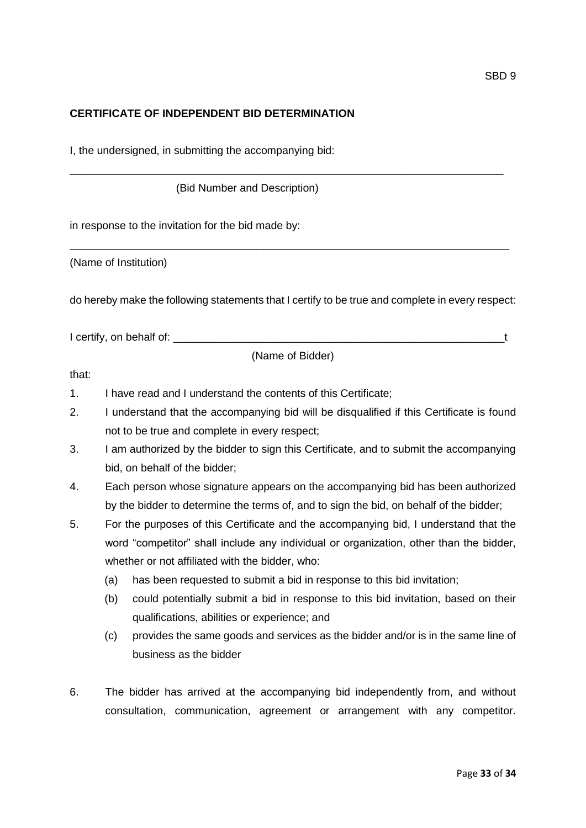### **CERTIFICATE OF INDEPENDENT BID DETERMINATION**

I, the undersigned, in submitting the accompanying bid:

(Bid Number and Description)

in response to the invitation for the bid made by:

(Name of Institution)

do hereby make the following statements that I certify to be true and complete in every respect:

\_\_\_\_\_\_\_\_\_\_\_\_\_\_\_\_\_\_\_\_\_\_\_\_\_\_\_\_\_\_\_\_\_\_\_\_\_\_\_\_\_\_\_\_\_\_\_\_\_\_\_\_\_\_\_\_\_\_\_\_\_\_\_\_\_\_\_\_\_\_\_\_\_

\_\_\_\_\_\_\_\_\_\_\_\_\_\_\_\_\_\_\_\_\_\_\_\_\_\_\_\_\_\_\_\_\_\_\_\_\_\_\_\_\_\_\_\_\_\_\_\_\_\_\_\_\_\_\_\_\_\_\_\_\_\_\_\_\_\_\_\_\_\_\_\_

I certify, on behalf of: \_\_\_\_\_\_\_\_\_\_\_\_\_\_\_\_\_\_\_\_\_\_\_\_\_\_\_\_\_\_\_\_\_\_\_\_\_\_\_\_\_\_\_\_\_\_\_\_\_\_\_\_\_\_\_t

(Name of Bidder)

that:

- 1. I have read and I understand the contents of this Certificate;
- 2. I understand that the accompanying bid will be disqualified if this Certificate is found not to be true and complete in every respect;
- 3. I am authorized by the bidder to sign this Certificate, and to submit the accompanying bid, on behalf of the bidder;
- 4. Each person whose signature appears on the accompanying bid has been authorized by the bidder to determine the terms of, and to sign the bid, on behalf of the bidder;
- 5. For the purposes of this Certificate and the accompanying bid, I understand that the word "competitor" shall include any individual or organization, other than the bidder, whether or not affiliated with the bidder, who:
	- (a) has been requested to submit a bid in response to this bid invitation;
	- (b) could potentially submit a bid in response to this bid invitation, based on their qualifications, abilities or experience; and
	- (c) provides the same goods and services as the bidder and/or is in the same line of business as the bidder
- 6. The bidder has arrived at the accompanying bid independently from, and without consultation, communication, agreement or arrangement with any competitor.